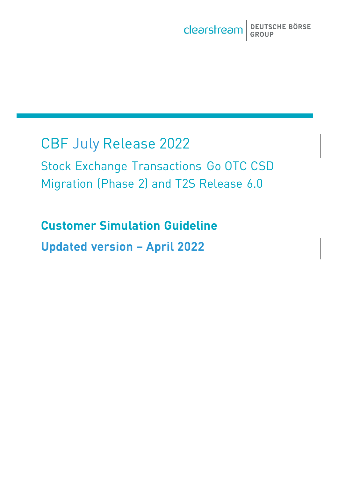# CBF July Release 2022

i<br>I

Stock Exchange Transactions Go OTC CSD Migration (Phase 2) and T2S Release 6.0

**Customer Simulation Guideline Updated version – April 2022**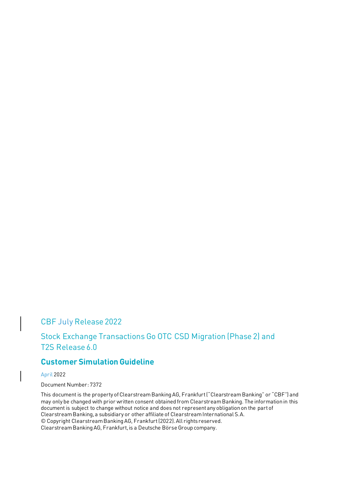# CBF July Release 2022

# Stock Exchange Transactions Go OTC CSD Migration (Phase 2) and T2S Release 6.0

# **Customer Simulation Guideline**

April 2022

Document Number: 7372

This document is the property of Clearstream Banking AG, Frankfurt ("Clearstream Banking" or "CBF") and may only be changed with prior written consent obtained from Clearstream Banking. The information in this document is subject to change without notice and does not represent any obligation on the part of Clearstream Banking, a subsidiary or other affiliate of Clearstream International S.A. © Copyright Clearstream Banking AG, Frankfurt (2022). All rights reserved. Clearstream Banking AG, Frankfurt, is a Deutsche Börse Group company.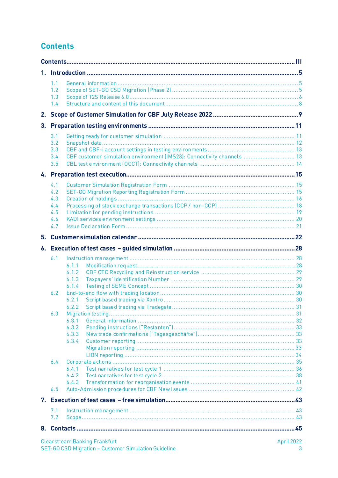# <span id="page-2-0"></span>**Contents**

| 1. |                                               |                                                                                                 |  |
|----|-----------------------------------------------|-------------------------------------------------------------------------------------------------|--|
|    | 1.1<br>1.2<br>1.3<br>1.4                      |                                                                                                 |  |
| 2. |                                               |                                                                                                 |  |
| 3. |                                               |                                                                                                 |  |
|    | 3.1<br>3.2<br>3.3<br>3.4<br>3.5               | CBF customer simulation environment (IMS23): Connectivity channels  13                          |  |
|    |                                               |                                                                                                 |  |
|    | 4.1<br>4.2<br>4.3<br>4.4<br>4.5<br>4.6<br>4.7 |                                                                                                 |  |
| 5. |                                               |                                                                                                 |  |
|    |                                               |                                                                                                 |  |
|    | 6.1<br>6.2<br>6.3<br>6.4                      | 6.1.1<br>6.1.2<br>6.1.3<br>6.1.4<br>6.2.1<br>6.2.2<br>6.3.1<br>6.3.2<br>6.3.3<br>6.3.4<br>6.4.1 |  |
|    |                                               | 6.4.2<br>6.4.3                                                                                  |  |
|    | 6.5                                           |                                                                                                 |  |
|    |                                               |                                                                                                 |  |
|    | 7.1<br>7.2                                    |                                                                                                 |  |
|    |                                               |                                                                                                 |  |
|    |                                               | $A = 11.0000$                                                                                   |  |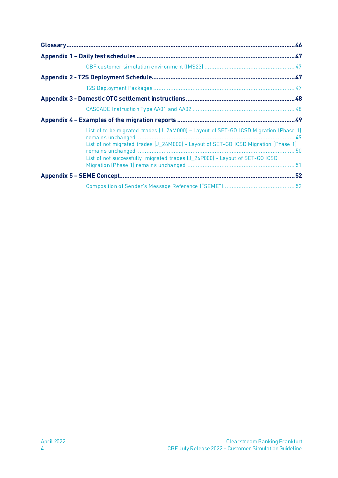| List of to be migrated trades (J 26M000) - Layout of SET-GO ICSD Migration (Phase 1)<br>List of not migrated trades (J_26M000) - Layout of SET-GO ICSD Migration (Phase 1)<br>List of not successfully migrated trades (J_26P000) - Layout of SET-GO ICSD |  |
|-----------------------------------------------------------------------------------------------------------------------------------------------------------------------------------------------------------------------------------------------------------|--|
|                                                                                                                                                                                                                                                           |  |
|                                                                                                                                                                                                                                                           |  |
|                                                                                                                                                                                                                                                           |  |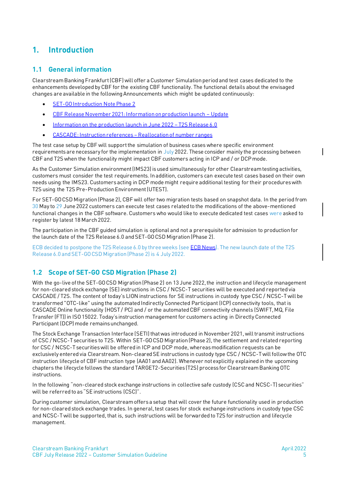# <span id="page-4-0"></span>**1. Introduction**

### <span id="page-4-1"></span>**1.1 General information**

Clearstream Banking Frankfurt (CBF) will offer a Customer Simulation period and test cases dedicated to the enhancements developed by CBF for the existing CBF functionality. The functional details about the envisaged changes are available in the following Announcements which might be updated continuously:

- [SET-GO Introduction Note Phase 2](https://www.clearstream.com/clearstream-en/products-and-services/settlement/central-bank-money-settlement-csd-/stock-exchange-and-eurex-ccp-trades)
- [CBF Release November 2021: Information on production launch](https://www.clearstream.com/clearstream-en/products-and-services/settlement/d21039-2775232)  Update
- [Information on the production launch in June 2022](https://www.clearstream.com/clearstream-en/products-and-services/settlement/d22003-2916000)  T2S Release 6.0
- [CASCADE: Instruction references](https://www.clearstream.com/clearstream-en/products-and-services/settlement/d21056-2873958)  Reallocation of number ranges

The test case setup by CBF will support the simulation of business cases where specific environment requirements are necessary for the implementation in July 2022. These consider mainly the processing between CBF and T2S when the functionality might impact CBF customers acting in ICP and / or DCP mode.

As the Customer Simulation environment (IMS23) is used simultaneously for other Clearstream testing activities, customers must consider the test requirements. In addition, customers can execute test cases based on their own needs using the IMS23. Customers acting in DCP mode might require additional testing for their procedures with T2S using the T2S Pre-Production Environment (UTEST).

For SET-GO CSD Migration (Phase 2), CBF will offer two migration tests based on snapshot data. In the period from 30 May to 29 June 2022 customers can execute test cases related to the modifications of the above-mentioned functional changes in the CBF software. Customers who would like to execute dedicated test cases were asked to [register](https://www.clearstream.com/clearstream-en/products-and-services/connectivity-1-/cascade/testing-and-simulation) by latest 18 March 2022.

The participation in the CBF guided simulation is optional and not a prerequisite for admission to production for the launch date of the T2S Release 6.0 and SET-GO CSD Migration (Phase 2).

ECB decided to postpone the T2S Release 6.0 by three weeks (se[e ECB News\)](https://www.ecb.europa.eu/paym/intro/news/html/ecb.mipnews20220316.en.html). The new launch date of the T2S Release 6.0 and SET-GO CSD Migration (Phase 2) is 4 July 2022.

# <span id="page-4-2"></span>**1.2 Scope of SET-GO CSD Migration (Phase 2)**

With the go-live of the SET-GO CSD Migration (Phase 2) on 13 June 2022, the instruction and lifecycle management for non-cleared stock exchange (SE) instructions in CSC / NCSC-T securities will be executed and reported via CASCADE / T2S. The content of today's LION instructions for SE instructions in custody type CSC / NCSC-T will be transformed "OTC-like" using the automated Indirectly Connected Participant (ICP) connectivity tools, that is CASCADE Online functionality (HOST/PC) and / or the automated CBF connectivity channels (SWIFT, MQ, File Transfer (FT)) in ISO15022. Today's instruction management for customers acting in Directly Connected Participant (DCP) mode remains unchanged.

The Stock Exchange Transaction Interface (SETI) that was introduced in November 2021, will transmit instructions of CSC / NCSC-T securities to T2S. Within SET-GO CSD Migration (Phase 2), the settlement and related reporting for CSC / NCSC-T securities will be offered in ICP and DCP mode, whereas modification requests can be exclusively entered via Clearstream. Non-cleared SE instructions in custody type CSC / NCSC-T will follow the OTC instruction lifecycle of CBF instruction type (AA01 and AA02). Whenever not explicitly explained in the upcoming chapters the lifecycle follows the standard TARGET2-Securities (T2S) process for Clearstream Banking OTC instructions.

In the following "non-cleared stock exchange instructions in collective safe custody (CSC and NCSC-T) securities" will be referred to as "SE instructions (CSC)".

During customer simulation, Clearstream offers a setup that will cover the future functionality used in production for non-cleared stock exchange trades. In general, test cases for stock exchange instructions in custody type CSC and NCSC-T will be supported, that is, such instructions will be forwarded to T2S for instruction and lifecycle management.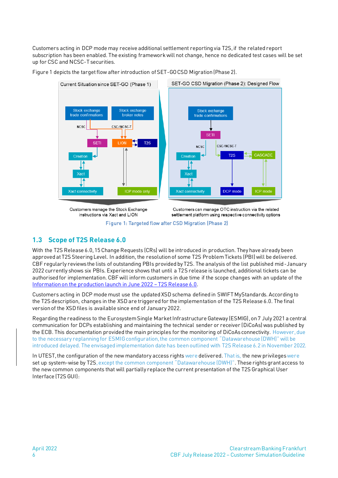Customers acting in DCP mode may receive additional settlement reporting via T2S, if the related report subscription has been enabled. The existing framework will not change, hence no dedicated test cases will be set up for CSC and NCSC-T securities.





Figure 1: Targeted flow after CSD Migration (Phase 2)

# <span id="page-5-0"></span>**1.3 Scope of T2S Release 6.0**

With the T2S Release 6.0, 15 Change Requests (CRs) will be introduced in production. They have already been approved at T2S Steering Level. In addition, the resolution of some T2S Problem Tickets (PBI) will be delivered. CBF regularly reviews the lists of outstanding PBIs provided by T2S. The analysis of the list published mid-January 2022 currently shows six PBIs. Experience shows that until a T2S release is launched, additional tickets can be authorised for implementation. CBF will inform customers in due time if the scope changes with an update of the [Information on the production launch in June 2022](https://www.clearstream.com/clearstream-en/products-and-services/settlement/d22003-2916000) – T2S Release 6.0.

Customers acting in DCP mode must use the updated XSD schema defined in SWIFT MyStandards. According to the T2S description, changes in the XSD are triggered for the implementation of the T2S Release 6.0. The final version of the XSD files is available since end of January 2022.

Regarding the readiness to the Eurosystem Single Market Infrastructure Gateway (ESMIG), on 7 July 2021 a central communication for DCPs establishing and maintaining the technical sender or receiver (DiCoAs) was published by the ECB. This documentation provided the main principles for the monitoring of DiCoAs connectivity. However, due to the necessary replanning for ESMIG configuration, the common component "Datawarehouse (DWH)" will be introduced delayed. The envisaged implementation date has been outlined with T2S Release 6.2 in November 2022.

In UTEST, the configuration of the new mandatory access rights were delivered. That is, the new privilegeswere set up system-wise by T2S, except the common component "Datawarehouse (DWH)". These rights grant access to the new common components that will partially replace the current presentation of the T2S Graphical User Interface (T2S GUI):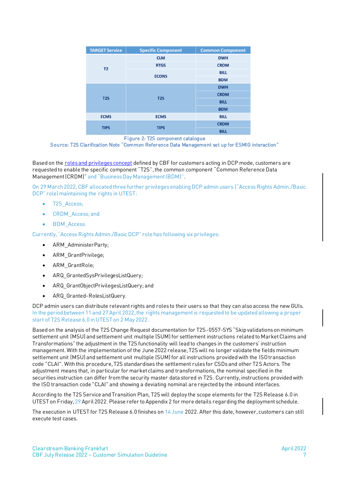| <b>TARGET Service</b> | <b>Specific Component</b> | <b>Common Component</b> |
|-----------------------|---------------------------|-------------------------|
|                       | <b>CLM</b>                | <b>DWH</b>              |
| T <sub>2</sub>        | <b>RTGS</b>               | <b>CRDM</b>             |
|                       | <b>ECONS</b>              | <b>BILL</b>             |
|                       |                           | <b>BDM</b>              |
|                       |                           | <b>DWH</b>              |
| T2S                   | T2S                       | <b>CRDM</b>             |
|                       |                           | <b>BILL</b>             |
|                       |                           | <b>BDM</b>              |
| <b>ECMS</b>           | <b>ECMS</b>               | <b>BILL</b>             |
| <b>TIPS</b>           | <b>TIPS</b>               | <b>CRDM</b>             |
|                       |                           | <b>BILL</b>             |

Figure 2: T2S component catalogue

Source: T2S Clarification Note "Common Reference Data Management set up for ESMIG interaction"

Based on the [roles and privileges concept](https://www.clearstream.com/clearstream-en/products-and-services/connectivity-1-/cascade/t2s-dcp-connectivity) defined by CBF for customers acting in DCP mode, customers are requested to enable the specific component "T2S", the common component "Common Reference Data Management (CRDM)" and "Business Day Management (BDM)".

On 29 March 2022,CBF allocated three further privilegesenabling DCP admin users ("Access Rights Admin./Basic DCP" role) maintaining the rights in UTEST:

- T2S Access:
- CRDM\_Access; and
- BDM Access.

Currently, "Access Rights Admin./Basic DCP" role has following six privileges:

- ARM\_AdministerParty;
- ARM\_GrantPrivilege;
- ARM\_GrantRole;
- ARQ\_GrantedSysPrivilegesListQuery;
- ARQ\_GrantObjectPrivilegesListQuery; and
- ARQ\_Granted-RolesListQuery.

DCP admin users can distribute relevant rights and roles to their users so that they can also access the new GUIs. In the period between 11 and 27 April 2022, the rights management is requested to be updated allowing a proper start of T2S Release 6.0 in UTEST on 2 May 2022.

Based on the analysis of the T2S Change Request documentation for T2S-0557-SYS "Skip validations on minimum settlement unit (MSU) and settlement unit multiple (SUM) for settlement instructions related to Market Claims and Transformations" the adjustment in the T2S functionality will lead to changes in the customers' instruction management. With the implementation of the June 2022 release, T2S will no longer validate the fields minimum settlement unit (MSU) and settlement unit multiple (SUM) for all instructions provided with the ISO transaction code "CLAI". With this procedure, T2S standardises the settlement rules for CSDs and other T2S Actors. The adjustment means that, in particular for market claims and transformations, the nominal specified in the securities instruction can differ from the security master data stored in T2S. Currently, instructions provided with the ISO transaction code "CLAI" and showing a deviating nominal are rejected by the inbound interfaces.

According to the T2S Service and Transition Plan, T2S will deploy the scope elements for the T2S Release 6.0 in UTEST on Friday, 29 April 2022. Please refer to Appendix 2 for more details regarding the deployment schedule.

The execution in UTEST for T2S Release 6.0 finishes on 14 June 2022. After this date, however, customers can still execute test cases.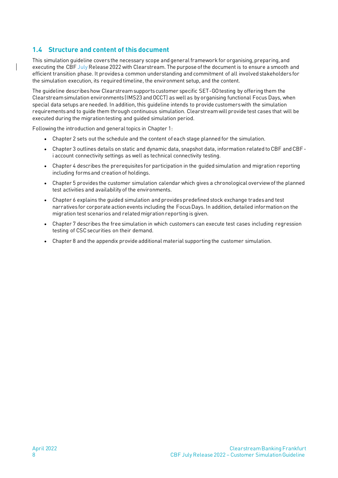### <span id="page-7-0"></span>**1.4 Structure and content of this document**

This simulation guideline covers the necessary scope and general framework for organising, preparing, and executing the CBF July Release 2022 with Clearstream. The purpose of the document is to ensure a smooth and efficient transition phase. It provides a common understanding and commitment of all involved stakeholders for the simulation execution, its required timeline, the environment setup, and the content.

The guideline describes how Clearstream supports customer specific SET-GO testing by offering them the Clearstream simulation environments (IMS23 and OCCT) as well as by organising functional Focus Days, when special data setups are needed. In addition, this guideline intends to provide customers with the simulation requirements and to guide them through continuous simulation. Clearstream will provide test cases that will be executed during the migration testing and guided simulation period.

Following the introduction and general topics in Chapter 1:

- Chapter 2 sets out the schedule and the content of each stage planned for the simulation.
- Chapter 3 outlines details on static and dynamic data, snapshot data, information related to CBF and CBFi account connectivity settings as well as technical connectivity testing.
- Chapter 4 describes the prerequisites for participation in the guided simulation and migration reporting including forms and creation of holdings.
- Chapter 5 provides the customer simulation calendar which gives a chronological overview of the planned test activities and availability of the environments.
- Chapter 6 explains the guided simulation and provides predefined stock exchange trades and test narratives for corporate action events including the Focus Days. In addition, detailed information on the migration test scenarios and related migration reporting is given.
- Chapter 7 describes the free simulation in which customers can execute test cases including regression testing of CSC securities on their demand.
- Chapter 8 and the appendix provide additional material supporting the customer simulation.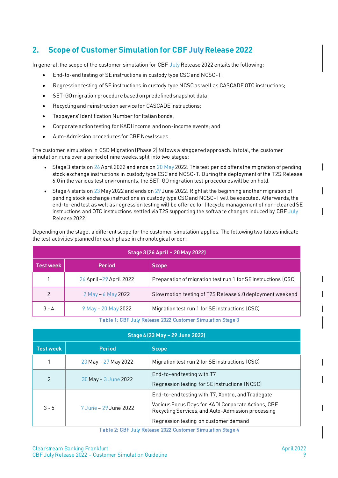# <span id="page-8-0"></span>**2. Scope of Customer Simulation for CBF JulyRelease 2022**

In general, the scope of the customer simulation for CBF July Release 2022 entails the following:

- End-to-end testing of SE instructions in custody type CSC and NCSC-T;
- Regression testing of SE instructions in custody type NCSC as well as CASCADE OTC instructions;
- SET-GO migration procedure based on predefined snapshot data;
- Recycling and reinstruction service for CASCADE instructions;
- Taxpayers' Identification Number for Italian bonds;
- Corporate action testing for KADI income and non-income events; and
- Auto-Admission procedures for CBF New Issues.

The customer simulation in CSD Migration (Phase 2) follows a staggered approach. In total, the customer simulation runs over a period of nine weeks, split into two stages:

- Stage 3 starts on 26 April 2022 and ends on 20  $M$ ay 2022. This test period offers the migration of pending stock exchange instructions in custody type CSC and NCSC-T. During the deployment of the T2S Release 6.0 in the various test environments, the SET-GO migration test procedures will be on hold.
- Stage 4 starts on 23 May 2022 and ends on 29 June 2022. Right at the beginning another migration of pending stock exchange instructions in custody type CSC and NCSC-T will be executed. Afterwards,the end-to-end test as well as regression testing will be offered for lifecycle management of non-cleared SE instructions and OTC instructions settled via T2S supporting the software changes induced by CBF July Release 2022.

Depending on the stage, a different scope for the customer simulation applies. The following two tables indicate the test activities planned for each phase in chronological order:

| Stage 3 (26 April - 20 May 2022)                                                 |                          |                                                               |  |  |  |  |  |  |
|----------------------------------------------------------------------------------|--------------------------|---------------------------------------------------------------|--|--|--|--|--|--|
| <b>Test week</b>                                                                 | <b>Period</b>            | <b>Scope</b>                                                  |  |  |  |  |  |  |
|                                                                                  | 26 April - 29 April 2022 | Preparation of migration test run 1 for SE instructions (CSC) |  |  |  |  |  |  |
| $\overline{2}$                                                                   | 2 May - 6 May 2022       | Slow motion testing of T2S Release 6.0 deployment weekend     |  |  |  |  |  |  |
| $3 - 4$<br>Migration test run 1 for SE instructions (CSC)<br>9 May - 20 May 2022 |                          |                                                               |  |  |  |  |  |  |

Table 1: CBF July Release 2022 Customer Simulation Stage 3

| Stage 4 (23 May - 29 June 2022) |                       |                                                                                                         |  |  |  |  |  |  |
|---------------------------------|-----------------------|---------------------------------------------------------------------------------------------------------|--|--|--|--|--|--|
| <b>Test week</b>                | <b>Period</b>         | <b>Scope</b>                                                                                            |  |  |  |  |  |  |
|                                 | 23 May - 27 May 2022  | Migration test run 2 for SE instructions (CSC)                                                          |  |  |  |  |  |  |
| $\overline{2}$                  | 30 May - 3 June 2022  | End-to-end testing with T7                                                                              |  |  |  |  |  |  |
|                                 |                       | Regression testing for SE instructions (NCSC)                                                           |  |  |  |  |  |  |
|                                 |                       | End-to-end testing with T7, Xontro, and Tradegate                                                       |  |  |  |  |  |  |
| $3 - 5$                         | 7 June - 29 June 2022 | Various Focus Days for KADI Corporate Actions, CBF<br>Recycling Services, and Auto-Admission processing |  |  |  |  |  |  |
|                                 |                       | Regression testing on customer demand                                                                   |  |  |  |  |  |  |

Table 2: CBF July Release 2022 Customer Simulation Stage 4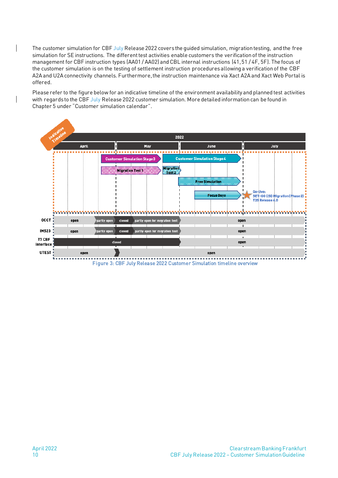The customer simulation for CBF July Release 2022 covers the guided simulation, migration testing, and the free simulation for SE instructions. The different test activities enable customers the verification of the instruction management for CBF instruction types (AA01 / AA02) and CBL internal instructions (41, 51 / 4F, 5F). The focus of the customer simulation is on the testing of settlement instruction procedures allowing a verification of the CBF A2A and U2A connectivity channels. Furthermore, the instruction maintenance via Xact A2A and Xact Web Portal is offered.

Please refer to the figure below for an indicative timeline of the environment availability and planned test activities with regards to the CBF July Release 2022 customer simulation. More detailed information can be found in Chapter 5 under "Customer simulation calendar".



Figure 3: CBF July Release 2022 Customer Simulation timeline overview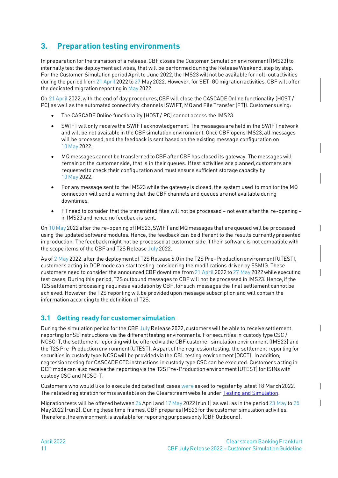# <span id="page-10-0"></span>**3. Preparation testing environments**

In preparation for the transition of a release, CBF closes the Customer Simulation environment (IMS23) to internally test the deployment activities, that will be performed during the Release Weekend, step by step. For the Customer Simulation period April to June 2022, the IMS23 will not be available for roll-out activities during the period from 21 April 2022 to 27 May 2022. However, for SET-GO migration activities, CBF will offer the dedicated migration reporting in May 2022.

On 21 April 2022, with the end of day procedures, CBF will close the CASCADE Online functionality (HOST / PC) as well as the automated connectivity channels (SWIFT, MQ and File Transfer (FT)). Customers using:

- The CASCADE Online functionality (HOST / PC) cannot access the IMS23.
- SWIFT will only receive the SWIFT acknowledgement. The messages are held in the SWIFT network and will be not available in the CBF simulation environment. Once CBF opens IMS23, all messages will be processed, and the feedback is sent based on the existing message configuration on 10 May 2022.
- MQ messages cannot be transferred to CBF after CBF has closed its gateway. The messages will remain on the customer side, that is in their queues. If test activities are planned, customers are requested to check their configuration and must ensure sufficient storage capacity by 10 May 2022.
- For any message sent to the IMS23 while the gateway is closed, the system used to monitor the MQ connection will send a warning that the CBF channels and queues are not available during downtimes.
- FT need to consider that the transmitted files will not be processed not even after the re-opening in IMS23 and hence no feedback is sent.

On 10 May 2022 after the re-opening of IMS23, SWIFT and MQ messages that are queued will be processed using the updated software modules. Hence, the feedback can be different to the results currently presented in production. The feedback might not be processed at customer side if their software is not compatible with the scope items of the CBF and T2S Release July 2022.

As of 2 May 2022, after the deployment of T2S Release 6.0 in the T2S Pre-Production environment (UTEST), customers acting in DCP mode can start testing considering the modifications driven by ESMIG. These customers need to consider the announced CBF downtime from 21 April 2022 to 27 May 2022 while executing test cases. During this period, T2S outbound messages to CBF will not be processed in IMS23. Hence, if the T2S settlement processing requires a validation by CBF, for such messages the final settlement cannot be achieved. However, the T2S reporting will be provided upon message subscription and will contain the information according to the definition of T2S.

### <span id="page-10-1"></span>**3.1 Getting ready for customer simulation**

During the simulation period for the CBF July Release 2022, customers will be able to receive settlement reporting for SE instructions via the different testing environments. For securities in custody type CSC / NCSC-T, the settlement reporting will be offered via the CBF customer simulation environment (IMS23) and the T2S Pre-Production environment (UTEST). As part of the regression testing, the settlement reporting for securities in custody type NCSC will be provided via the CBL testing environment (OCCT). In addition, regression testing for CASCADE OTC instructions in custody type CSC can be executed. Customers acting in DCP mode can also receive the reporting via the T2S Pre-Production environment (UTEST) for ISINs with custody CSC and NCSC-T.

Customers who would like to execute dedicated test cases were asked t[o register](https://www.clearstream.com/clearstream-en/products-and-services/connectivity-1-/cascade/testing-and-simulation) by latest 18 March 2022. The related registration form is available on the Clearstream website under [Testing and Simulation.](https://www.clearstream.com/clearstream-en/products-and-services/connectivity-1-/cascade/testing-and-simulation)

Migration tests will be offered between 26 April and 17 May 2022 (run 1) as well as in the period 23 May to 25 May 2022 (run 2). During these time frames, CBF prepares IMS23 for the customer simulation activities. Therefore, the environment is available for reporting purposes only (CBF Outbound).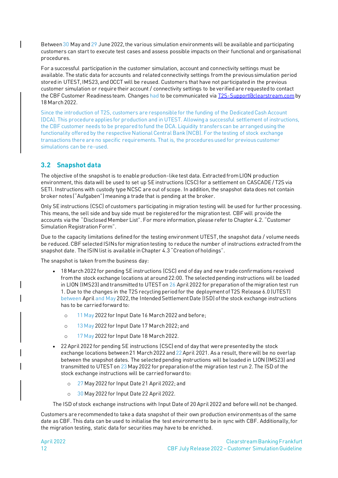Between 30 May and 29 June 2022, the various simulation environments will be available and participating customers can start to execute test cases and assess possible impacts on their functional and organisational procedures.

For a successful participation in the customer simulation, account and connectivity settings must be available. The static data for accounts and related connectivity settings from the previous simulation period stored in UTEST, IMS23, and OCCT will be reused. Customers that have not participated in the previous customer simulation or require their account / connectivity settings to be verified are requested to contact the CBF Customer Readiness team. Changes had to be communicated vi[a T2S-Support@clearstream.com](mailto:T2S-support@clearstream.com) by 18 March 2022.

Since the introduction of T2S, customers are responsible for the funding of the Dedicated Cash Account (DCA). This procedure applies for production and in UTEST. Allowing a successful settlement of instructions, the CBF customer needs to be prepared to fund the DCA. Liquidity transfers can be arranged using the functionality offered by the respective National Central Bank (NCB). For the testing of stock exchange transactions there are no specific requirements. That is, the procedures used for previous customer simulations can be re-used.

# <span id="page-11-0"></span>**3.2 Snapshot data**

The objective of the snapshot is to enable production-like test data. Extracted from LION production environment, this data will be used to set up SE instructions (CSC) for a settlement on CASCADE / T2S via SETI. Instructions with custody type NCSC are out of scope. In addition, the snapshot data does not contain broker notes ("Aufgaben") meaning a trade that is pending at the broker.

Only SE instructions (CSC) of customers participating in migration testing will be used for further processing. This means, the sell side and buy side must be registered for the migration test. CBF will provide the accounts via the "Disclosed Member List". For more information, please refer to Chapter 4.2. "Customer Simulation Registration Form".

Due to the capacity limitations defined for the testing environment UTEST, the snapshot data / volume needs be reduced. CBF selected ISINs for migration testing to reduce the number of instructions extracted from the snapshot date. The ISIN list is available in Chapter 4.3 "Creation of holdings".

The snapshot is taken from the business day:

- 18 March 2022 for pending SE instructions (CSC) end of day and new trade confirmations received from the stock exchange locations at around 22:00. The selected pending instructions will be loaded in LION (IMS23) and transmitted to UTEST on 26 April 2022 for preparation of the migration test run 1. Due to the changes in the T2S recycling period for the deployment of T2S Release 6.0 (UTEST) between April and May 2022, the Intended Settlement Date (ISD) of the stock exchange instructions has to be carried forward to:
	- o 11 May 2022 for Input Date 16 March 2022 and before;
	- o 13 May 2022 for Input Date 17 March 2022; and
	- o 17 May 2022 for Input Date 18 March 2022.
- 22 April 2022 for pending SE instructions (CSC) end of day that were presented by the stock exchange locations between 21 March 2022 and 22 April 2021. As a result, there will be no overlap between the snapshot dates. The selected pending instructions will be loaded in LION (IMS23) and transmitted to UTEST on 23 May 2022 for preparation of the migration test run 2. The ISD of the stock exchange instructions will be carried forward to:
	- o 27 May 2022 for Input Date 21 April 2022; and
	- o 30 May 2022 for Input Date 22 April 2022.

The ISD of stock exchange instructions with Input Date of 20 April 2022 and before will not be changed.

Customers are recommended to take a data snapshot of their own production environments as of the same date as CBF. This data can be used to initialise the test environment to be in sync with CBF. Additionally, for the migration testing, static data for securities may have to be enriched.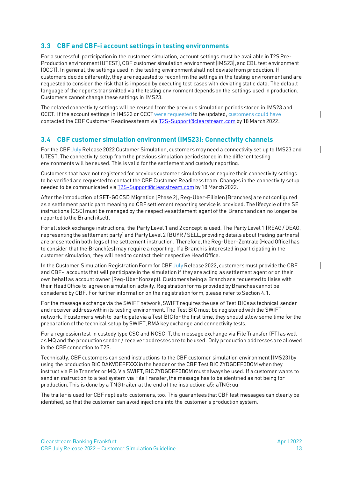### <span id="page-12-0"></span>**3.3 CBF and CBF-i account settings in testing environments**

For a successful participation in the customer simulation, account settings must be available in T2S Pre-Production environment (UTEST), CBF customer simulation environment (IMS23), and CBL test environment (OCCT). In general, the settings used in the testing environment shall not deviate from production. If customers decide differently, they are requested to reconfirm the settings in the testing environment and are requested to consider the risk that is imposed by executing test cases with deviating static data. The default language of the reports transmitted via the testing environment depends on the settings used in production. Customers cannot change these settings in IMS23.

The related connectivity settings will be reused from the previous simulation periods stored in IMS23 and OCCT. If the account settings in IMS23 or OCCT were requested to be updated, customers could have contacted the CBF Customer Readiness team vi[a T2S-Support@clearstream.com](mailto:T2S-Support@clearstream.com) by 18 March 2022.

### <span id="page-12-1"></span>**3.4 CBF customer simulation environment (IMS23): Connectivity channels**

For the CBF July Release 2022 Customer Simulation, customers may need a connectivity set up to IMS23 and UTEST. The connectivity setup from the previous simulation period stored in the different testing environments will be reused. This is valid for the settlement and custody reporting.

Customers that have not registered for previous customer simulations or require their connectivity settings to be verified are requested to contact the CBF Customer Readiness team. Changes in the connectivity setup needed to be communicated via  $T2S-Support@clearstream.com$  by 18 March 2022.</u>

After the introduction of SET-GO CSD Migration (Phase 2), Reg-Über-Filialen (Branches) are not configured as a settlement participant meaning no CBF settlement reporting service is provided. The lifecycle of the SE instructions (CSC) must be managed by the respective settlement agent of the Branch and can no longer be reported to the Branch itself.

For all stock exchange instructions, the Party Level 1 and 2 concept is used. The Party Level 1 (REAG / DEAG, representing the settlement party) and Party Level 2 (BUYR / SELL, providing details about trading partners) are presented in both legs of the settlement instruction. Therefore, the Reg-Über-Zentrale (Head Office) has to consider that the Branch(es) may require a reporting. If a Branch is interested in participating in the customer simulation, they will need to contact their respective Head Office.

In the Customer Simulation Registration Form for CBF July Release 2022, customers must provide the CBF and CBF-i accounts that will participate in the simulation if they are acting as settlement agent or on their own behalf as account owner (Reg-Über Konzept). Customers being a Branch are requested to liaise with their Head Office to agree on simulation activity. Registration forms provided by Branches cannot be considered by CBF. For further information on the registration form, please refer to Section [4.1.](#page-14-1)

For the message exchange via the SWIFT network, SWIFT requires the use of Test BICs as technical sender and receiver address within its testing environment. The Test BIC must be registered with the SWIFT network. If customers wish to participate via a Test BIC for the first time, they should allow some time for the preparation of the technical setup by SWIFT, RMA key exchange and connectivity tests.

For a regression test in custody type CSC and NCSC-T, the message exchange via File Transfer (FT) as well as MQ and the production sender / receiver addresses are to be used. Only production addresses are allowed in the CBF connection to T2S.

Technically, CBF customers can send instructions to the CBF customer simulation environment (IMS23) by using the production BIC DAKVDEFFXXX in the header or the CBF Test BIC ZYDGDEF0DOM when they instruct via File Transfer or MQ. Via SWIFT, BIC ZYDGDEF0DOM must always be used. If a customer wants to send an instruction to a test system via File Transfer, the message has to be identified as not being for production. This is done by a TNG trailer at the end of the instruction: ä5: äTNG: üü

The trailer is used for CBF replies to customers, too. This guarantees that CBF test messages can clearly be identified, so that the customer can avoid injections into the customer's production system.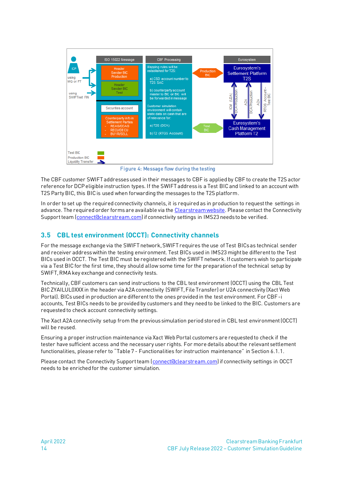

Figure 4: Message flow during the testing

The CBF customer SWIFT addresses used in their messages to CBF is applied by CBF to create the T2S actor reference for DCP eligible instruction types. If the SWIFT address is a Test BIC and linked to an account with T2S Party BIC, this BIC is used when forwarding the messages to the T2S platform.

In order to set up the required connectivity channels, it is required as in production to request the settings in advance. The require[d order forms a](http://clearstream.com/clearstream-en/products-and-services/connectivity--1-/cascade/cascade-forms/cascade-forms/9688)re available via the [Clearstream website.](https://www.clearstream.com/clearstream-en/products-and-services/connectivity-1-/cascade/cascade-forms) Please contact the Connectivity Support team [\(connect@clearstream.com](mailto:connect@clearstream.com)) if connectivity settings in IMS23 needs to be verified.

# <span id="page-13-0"></span>**3.5 CBL test environment (OCCT): Connectivity channels**

For the message exchange via the SWIFT network, SWIFT requires the use of Test BICs as technical sender and receiver address within the testing environment. Test BICs used in IMS23 might be different to the Test BICs used in OCCT. The Test BIC must be registered with the SWIFT network. If customers wish to participate via a Test BIC for the first time, they should allow some time for the preparation of the technical setup by SWIFT, RMA key exchange and connectivity tests.

Technically, CBF customers can send instructions to the CBL test environment (OCCT) using the CBL Test BIC ZYAILUL0XXX in the header via A2A connectivity (SWIFT, File Transfer) or U2A connectivity (Xact Web Portal). BICs used in production are different to the ones provided in the test environment. For CBF-i accounts, Test BICs needs to be provided by customers and they need to be linked to the BIC. Customers are requested to check account connectivity settings.

The Xact A2A connectivity setup from the previous simulation period stored in CBL test environment (OCCT) will be reused.

Ensuring a proper instruction maintenance via Xact Web Portal customers are requested to check if the tester have sufficient access and the necessary user rights. For more details about the relevant settlement functionalities, please refer to "Table 7 - Functionalities for instruction maintenance" in Sectio[n 6.1.1](#page-27-2).

Please contact the Connectivity Support team [\(connect@clearstream.com\)](mailto:connect@clearstream.com) if connectivity settings in OCCT needs to be enriched for the customer simulation.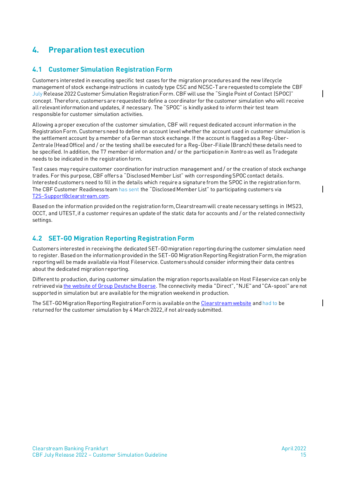# <span id="page-14-0"></span>**4. Preparation test execution**

# <span id="page-14-1"></span>**4.1 Customer Simulation Registration Form**

Customers interested in executing specific test cases for the migration procedures and the new lifecycle management of stock exchange instructions in custody type CSC and NCSC-T are requested to complete the CBF July Release 2022 Customer Simulation Registration Form. CBF will use the "Single Point of Contact (SPOC)" concept. Therefore, customers are requested to define a coordinator for the customer simulation who will receive all relevant information and updates, if necessary. The "SPOC" is kindly asked to inform their test team responsible for customer simulation activities.

Allowing a proper execution of the customer simulation, CBF will request dedicated account information in the Registration Form. Customers need to define on account level whether the account used in customer simulation is the settlement account by a member of a German stock exchange. If the account is flagged as a Reg-Über-Zentrale (Head Office) and / or the testing shall be executed for a Reg-Über-Filiale (Branch) these details need to be specified. In addition, the T7 member id information and / or the participation in Xontro as well as Tradegate needs to be indicated in the registration form.

Test cases may require customer coordination for instruction management and / or the creation of stock exchange trades. For this purpose, CBF offersa "Disclosed Member List" with corresponding SPOC contact details. Interested customers need to fill in the details which require a signature from the SPOC in the registration form. The CBF Customer Readiness team has sent the "Disclosed Member List" to participating customers via [T2S-Support@clearstream.com.](mailto:T2S-Support@clearstream.com)

Based on the information provided on the registration form, Clearstream will create necessary settings in IMS23, OCCT, and UTEST,if a customer requires an update of the static data for accounts and / or the related connectivity settings.

### <span id="page-14-2"></span>**4.2 SET-GO Migration Reporting Registration Form**

Customers interested in receiving the dedicated SET-GO migration reporting during the customer simulation need to register. Based on the information provided in the SET-GO Migration Reporting Registration Form, the migration reporting will be made available via Host Fileservice. Customers should consider informing their data centres about the dedicated migration reporting.

Different to production, during customer simulation the migration reports available on Host Fileservice can only be retrieved vi[a the website of Group Deutsche Boerse.](https://deutsche-boerse.com/dbg/app/open/hostfileservice?lang=en) The connectivity media "Direct", "NJE" and "CA-spool" are not supported in simulation but are available for the migration weekend in production.

The SET-GO Migration Reporting Registration Form is available on th[e Clearstream website](https://www.clearstream.com/clearstream-en/products-and-services/settlement/central-bank-money-settlement-csd-/stock-exchange-and-eurex-ccp-trades/stock-exchange-and-eurex-central-counterparty-ccp-trades-1275282) and had to be returned for the customer simulation by 4 March 2022, if not already submitted.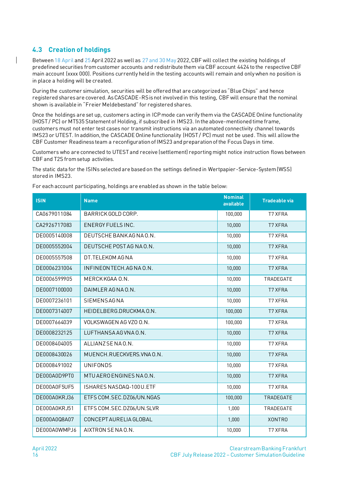# <span id="page-15-0"></span>**4.3 Creation of holdings**

Between 18 April and 25 April 2022 as well as 27 and 30 May 2022, CBF will collect the existing holdings of predefined securities from customer accounts and redistribute them via CBF account 4424 to the respective CBF main account (xxxx 000). Positions currently held in the testing accounts will remain and only when no position is in place a holding will be created.

During the customer simulation, securities will be offered that are categorized as "Blue Chips" and hence registered shares are covered. As CASCADE-RS is not involved in this testing, CBF will ensure that the nominal shown is available in "Freier Meldebestand" for registered shares.

Once the holdings are set up, customers acting in ICP mode can verify them via the CASCADE Online functionality (HOST / PC) or MT535 Statement of Holding, if subscribed in IMS23. In the above-mentioned time frame, customers must not enter test cases nor transmit instructions via an automated connectivity channel towards IMS23 or UTEST. In addition, the CASCADE Online functionality (HOST / PC) must not be used. This will allow the CBF Customer Readiness team a reconfiguration of IMS23 and preparation of the Focus Days in time.

Customers who are connected to UTEST and receive (settlement) reporting might notice instruction flows between CBF and T2S from setup activities.

The static data for the ISINs selected are based on the settings defined in Wertpapier-Service-System (WSS) stored in IMS23.

**ISIN Name Nominal available Tradeable via** CA0679011084 BARRICK GOLD CORP. 100,000 T7 XFRA CA2926717083 ENERGY FUELS INC. 10,000 T7 XFRA DE0005140008 DEUTSCHE BANK AG NA O.N. 10,000 T7 XFRA DE0005552004 DEUTSCHE POST AG NA O.N. 10,000 17 XFRA DE0005557508 DT.TELEKOM AG NA 10,000 T7 XFRA DE0006231004 | INFINEON TECH.AG NA O.N. 10,000 | T7 XFRA DE0006599905 | MERCK KGAA O.N. 10,000 | TRADEGATE DE0007100000 DAIMLER AG NA O.N. 10,000 10,000 T7 XFRA DE0007236101 SIEMENS AG NA 10,000 T7 XFRA DE0007314007 | HEIDELBERG.DRUCKMA.O.N. 100,000 | T7 XFRA DE0007664039 VOLKSWAGEN AG VZO O.N. 100,000 T7 XFRA DE0008232125 LUFTHANSA AG VNA O.N. 10,000 1 T7 XFRA DE0008404005 ALLIANZ SE NA O.N. 10,000 T7 XFRA DE0008430026 MUENCH.RUECKVERS.VNA 0.N. 10,000 17 XFRA DE0008491002 UNIFONDS 10,000 T7 XFRA DE000A0D9PT0 MTU AERO ENGINES NA O.N. 10,000 T7 XFRA DE000A0F5UF5 SHARES NASDAQ-100 U.ETF 10,000 1 T7 XFRA DE000A0KRJ36 ETFS COM.SEC.DZ06/UN.NGAS 100,000 TRADEGATE DE000A0KRJ51 ETFS COM.SEC.DZ06/UN.SLVR 1,000 1.000 TRADEGATE DE000A0Q8A07 CONCEPT AURELIA GLOBAL 1,000 XONTRO DE000A0WMPJ6 AIXTRON SE NA O.N. 10,000 10,000 T7 XFRA

For each account participating, holdings are enabled as shown in the table below: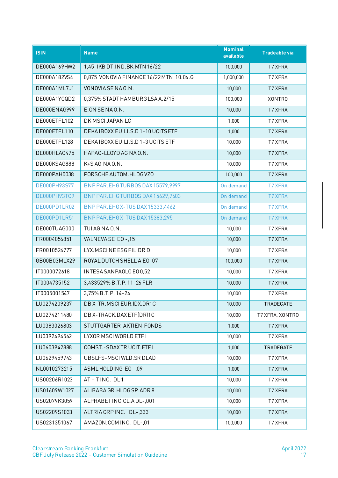| <b>ISIN</b>  | <b>Name</b>                             | <b>Nominal</b><br>available | <b>Tradeable via</b> |
|--------------|-----------------------------------------|-----------------------------|----------------------|
| DE000A169HW2 | 1,45 IKB DT.IND.BK.MTN 16/22            | 100,000                     | T7 XFRA              |
| DE000A182VS4 | 0,875 VONOVIA FINANCE 16/22 MTN 10.06.G | 1,000,000                   | <b>T7 XFRA</b>       |
| DE000A1ML7J1 | VONOVIA SE NA O.N.                      | 10,000                      | T7 XFRA              |
| DE000A1YCQD2 | 0,375% STADT HAMBURG LSA A.2/15         | 100,000                     | <b>XONTRO</b>        |
| DE000ENAG999 | E.ON SENAO.N.                           | 10,000                      | <b>T7 XFRA</b>       |
| DE000ETFL102 | DK MSCI JAPAN LC                        | 1,000                       | T7 XFRA              |
| DE000ETFL110 | DEKAIBOXX EU.LI.S.D 1-10 UCITS ETF      | 1,000                       | T7 XFRA              |
| DE000ETFL128 | DEKAIBOXX EU.LI.S.D 1-3 UCITS ETF       | 10,000                      | T7 XFRA              |
| DE000HLAG475 | HAPAG-LLOYD AG NA O.N.                  | 10,000                      | T7 XFRA              |
| DE000KSAG888 | K+SAGNAO.N.                             | 10,000                      | T7 XFRA              |
| DE000PAH0038 | PORSCHE AUTOM.HLDGVZ0                   | 100,000                     | T7 XFRA              |
| DE000PH93S77 | BNP PAR. EHG TURBOS DAX 15579,9997      | On demand                   | <b>T7 XFRA</b>       |
| DE000PH93TC9 | BNP PAR.EHG TURBOS DAX 15629,7603       | On demand                   | <b>T7 XFRA</b>       |
| DE000PD1LR02 | BNP PAR.EHG X-TUS DAX 15333,4462        | On demand                   | <b>T7 XFRA</b>       |
| DE000PD1LR51 | BNP PAR.EHGX-TUS DAX 15383,295          | On demand                   | <b>T7 XFRA</b>       |
| DE000TUAG000 | TUI AG NA 0.N.                          | 10,000                      | T7 XFRA              |
| FR0004056851 | VALNEVASE EO-,15                        | 10,000                      | T7 XFRA              |
| FR0010524777 | LYX. MSCI NE ESG FIL. DR D              | 10,000                      | T7 XFRA              |
| GB00B03MLX29 | ROYAL DUTCH SHELL A EO-07               | 100,000                     | T7 XFRA              |
| IT0000072618 | INTESA SANPAOLO EO 0,52                 | 10,000                      | T7 XFRA              |
| IT0004735152 | 3,433529% B.T.P.11-26 FLR               | 10,000                      | T7 XFRA              |
| IT0005001547 | 3,75% B.T.P. 14-24                      | 10,000                      | <b>T7 XFRA</b>       |
| LU0274209237 | DB X-TR.MSCI EUR.IDX.DR1C               | 10,000                      | TRADEGATE            |
| LU0274211480 | DB X-TRACK.DAX ETF(DR)1C                | 10,000                      | T7 XFRA, XONTRO      |
| LU0383026803 | STUTTGARTER-AKTIEN-FONDS                | 1,000                       | T7 XFRA              |
| LU0392494562 | LYXOR MSCI WORLD ETF I                  | 10,000                      | T7 XFRA              |
| LU0603942888 | COMST.-SDAX TR UCIT.ETF I               | 1,000                       | TRADEGATE            |
| LU0629459743 | UBSLFS-MSCIWLD.SRDLAD                   | 10,000                      | T7 XFRA              |
| NL0010273215 | ASMLHOLDING EO-,09                      | 1,000                       | <b>T7 XFRA</b>       |
| US00206R1023 | AT + T INC. DL1                         | 10,000                      | T7 XFRA              |
| US01609W1027 | ALIBABA GR.HLDG SP.ADR 8                | 10,000                      | T7 XFRA              |
| US02079K3059 | ALPHABET INC.CL.ADL-,001                | 10,000                      | T7 XFRA              |
| US02209S1033 | ALTRIA GRPINC. DL-,333                  | 10,000                      | T7 XFRA              |
| US0231351067 | AMAZON.COM INC. DL-,01                  | 100,000                     | T7 XFRA              |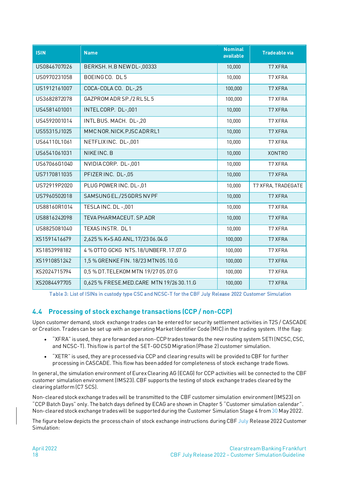| <b>ISIN</b>  | <b>Name</b>                              | <b>Nominal</b><br>available | <b>Tradeable via</b> |
|--------------|------------------------------------------|-----------------------------|----------------------|
| US0846707026 | BERKSH. H.B NEW DL-,00333                | 10,000                      | <b>T7 XFRA</b>       |
| US0970231058 | BOEINGCO. DL5                            | 10,000                      | T7 XFRA              |
| US1912161007 | COCA-COLA CO. DL-,25                     | 100,000                     | T7 XFRA              |
| US3682872078 | GAZPROM ADR SP./2 RL5L5                  | 100,000                     | T7 XFRA              |
| US4581401001 | INTELCORP. DL-,001                       | 10,000                      | <b>T7 XFRA</b>       |
| US4592001014 | INTLBUS. MACH. DL-,20                    | 10,000                      | T7 XFRA              |
| US55315J1025 | MMCNOR.NICK.PJSCADRRL1                   | 10,000                      | <b>T7 XFRA</b>       |
| US64110L1061 | NETFLIXINC. DL-,001                      | 10,000                      | T7 XFRA              |
| US6541061031 | NIKE INC. B                              | 10,000                      | <b>XONTRO</b>        |
| US67066G1040 | NVIDIA CORP. DL-,001                     | 10,000                      | <b>T7 XFRA</b>       |
| US7170811035 | PFIZER INC. DL-,05                       | 10,000                      | T7 XFRA              |
| US72919P2020 | PLUG POWER INC. DL-,01                   | 10,000                      | T7 XFRA, TRADEGATE   |
| US7960502018 | SAMSUNG EL./25 GDRS NV PF                | 10,000                      | <b>T7 XFRA</b>       |
| US88160R1014 | TESLAINC. DL -,001                       | 10,000                      | T7 XFRA              |
| US8816242098 | TEVA PHARMACEUT. SP.ADR                  | 10,000                      | T7 XFRA              |
| US8825081040 | TEXAS INSTR. DL1                         | 10,000                      | T7 XFRA              |
| XS1591416679 | 2,625 % K+S AG ANL.17/23 06.04.G         | 100,000                     | T7 XFRA              |
| XS1853998182 | 4 % OTTO GCKG NTS.18/UNBEFR.17.07.G      | 100,000                     | T7 XFRA              |
| XS1910851242 | 1,5 % GRENKE FIN. 18/23 MTN 05.10.G      | 100,000                     | T7 XFRA              |
| XS2024715794 | 0,5 % DT. TELEKOM MTN 19/27 05.07.G      | 100,000                     | T7 XFRA              |
| XS2084497705 | 0,625 % FRESE.MED.CARE MTN 19/26 30.11.G | 100,000                     | <b>T7 XFRA</b>       |

Table 3: List of ISINs in custody type CSC and NCSC-T for the CBF July Release 2022 Customer Simulation

### <span id="page-17-0"></span>**4.4 Processing of stock exchange transactions (CCP / non-CCP)**

Upon customer demand, stock exchange trades can be entered for security settlement activities in T2S / CASCADE or Creation. Trades can be set up with an operating Market Identifier Code (MIC) in the trading system. If the flag:

- "XFRA" is used, they are forwarded as non-CCP trades towards the new routing system SETI (NCSC, CSC, and NCSC-T). This flow is part of the SET-GO CSD Migration (Phase 2) customer simulation.
- "XETR" is used, they are processed via CCP and clearing results will be provided to CBF for further processing in CASCADE. This flow has been added for completeness of stock exchange trade flows.

In general, the simulation environment of Eurex Clearing AG (ECAG) for CCP activities will be connected to the CBF customer simulation environment (IMS23). CBF supports the testing of stock exchange trades cleared by the clearing platform(C7 SCS).

Non-cleared stock exchange trades will be transmitted to the CBF customer simulation environment (IMS23) on "CCP Batch Days" only. The batch days defined by ECAG are shown in Chapte[r 5](#page-21-0) "[Customer simulation calendar](#page-21-0)". Non-cleared stock exchange trades will be supported during the Customer Simulation Stage 4 from 30 May 2022.

The figure below depicts the process chain of stock exchange instructions during CBF July Release 2022 Customer Simulation: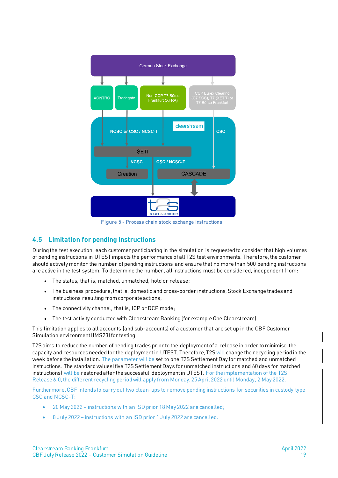

Figure 5 - Process chain stock exchange instructions

### <span id="page-18-0"></span>**4.5 Limitation for pending instructions**

During the test execution, each customer participating in the simulation is requested to consider that high volumes of pending instructions in UTEST impacts the performance of all T2S test environments. Therefore, the customer should actively monitor the number of pending instructions and ensure that no more than 500 pending instructions are active in the test system. To determine the number, all instructions must be considered, independent from:

- The status, that is, matched, unmatched, hold or release;
- The business procedure, that is, domestic and cross-border instructions, Stock Exchange trades and instructions resulting from corporate actions;
- The connectivity channel, that is, ICP or DCP mode;
- The test activity conducted with Clearstream Banking (for example One Clearstream).

This limitation applies to all accounts (and sub-accounts) of a customer that are set up in the CBF Customer Simulation environment (IMS23) for testing.

T2S aims to reduce the number of pending trades prior to the deployment of a release in order to minimise the capacity and resources needed for the deploymentin UTEST. Therefore, T2S will change the recycling period in the week before the installation. The parameter will be set to one T2S Settlement Day for matched and unmatched instructions. The standard values (five T2S Settlement Days for unmatched instructions and 60 days for matched instructions) will be restored after the successful deployment in UTEST. For the implementation of the T2S Release 6.0, the different recycling period will apply from Monday, 25 April 2022 until Monday, 2 May 2022.

Furthermore, CBF intends to carry out two clean-ups to remove pending instructions for securities in custody type CSC and NCSC-T:

- 20 May 2022 instructions with an ISD prior 18 May 2022 are cancelled;
- 8 July 2022 instructions with an ISD prior 1 July 2022 are cancelled.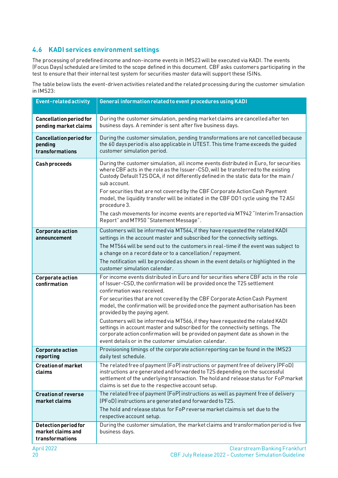# <span id="page-19-0"></span>**4.6 KADI services environment settings**

The processing of predefined income and non-income events in IMS23 will be executed via KADI. The events (Focus Days) scheduled are limited to the scope defined in this document. CBF asks customers participating in the test to ensure that their internal test system for securities master data will support these ISINs.

The table below lists the event-driven activities related and the related processing during the customer simulation in IMS23:

| <b>Event-related activity</b>                                | General information related to event procedures using KADI                                                                                                                                                                                                                                                                                                                                                                                                                                                                                                          |  |  |  |  |  |
|--------------------------------------------------------------|---------------------------------------------------------------------------------------------------------------------------------------------------------------------------------------------------------------------------------------------------------------------------------------------------------------------------------------------------------------------------------------------------------------------------------------------------------------------------------------------------------------------------------------------------------------------|--|--|--|--|--|
| <b>Cancellation period for</b><br>pending market claims      | During the customer simulation, pending market claims are cancelled after ten<br>business days. A reminder is sent after five business days.                                                                                                                                                                                                                                                                                                                                                                                                                        |  |  |  |  |  |
| <b>Cancellation period for</b><br>pending<br>transformations | During the customer simulation, pending transformations are not cancelled because<br>the 60 days period is also applicable in UTEST. This time frame exceeds the guided<br>customer simulation period.                                                                                                                                                                                                                                                                                                                                                              |  |  |  |  |  |
| <b>Cash proceeds</b>                                         | During the customer simulation, all income events distributed in Euro, for securities<br>where CBF acts in the role as the Issuer-CSD, will be transferred to the existing<br>Custody Default T2S DCA, if not differently defined in the static data for the main /<br>sub account.                                                                                                                                                                                                                                                                                 |  |  |  |  |  |
|                                                              | For securities that are not covered by the CBF Corporate Action Cash Payment<br>model, the liquidity transfer will be initiated in the CBF DD1 cycle using the T2 ASI<br>procedure 3.                                                                                                                                                                                                                                                                                                                                                                               |  |  |  |  |  |
|                                                              | The cash movements for income events are reported via MT942 "Interim Transaction<br>Report" and MT950 "Statement Message".                                                                                                                                                                                                                                                                                                                                                                                                                                          |  |  |  |  |  |
| <b>Corporate action</b><br>announcement                      | Customers will be informed via MT564, if they have requested the related KADI<br>settings in the account master and subscribed for the connectivity settings.<br>The MT564 will be send out to the customers in real-time if the event was subject to<br>a change on a record date or to a cancellation / repayment.<br>The notification will be provided as shown in the event details or highlighted in the<br>customer simulation calendar.                                                                                                                      |  |  |  |  |  |
| <b>Corporate action</b><br>confirmation                      | For income events distributed in Euro and for securities where CBF acts in the role<br>of Issuer-CSD, the confirmation will be provided once the T2S settlement<br>confirmation was received.<br>For securities that are not covered by the CBF Corporate Action Cash Payment<br>model, the confirmation will be provided once the payment authorisation has been<br>provided by the paying agent.<br>Customers will be informed via MT566, if they have requested the related KADI<br>settings in account master and subscribed for the connectivity settings. The |  |  |  |  |  |
|                                                              | corporate action confirmation will be provided on payment date as shown in the<br>event details or in the customer simulation calendar.                                                                                                                                                                                                                                                                                                                                                                                                                             |  |  |  |  |  |
| <b>Corporate action</b><br>reporting                         | Provisioning timings of the corporate action reporting can be found in the IMS23<br>daily test schedule.                                                                                                                                                                                                                                                                                                                                                                                                                                                            |  |  |  |  |  |
| <b>Creation of market</b><br>claims                          | The related free of payment (FoP) instructions or payment free of delivery (PFoD)<br>instructions are generated and forwarded to T2S depending on the successful<br>settlement of the underlying transaction. The hold and release status for FoP market<br>claims is set due to the respective account setup.                                                                                                                                                                                                                                                      |  |  |  |  |  |
| <b>Creation of reverse</b><br>market claims                  | The related free of payment (FoP) instructions as well as payment free of delivery<br>(PFoD) instructions are generated and forwarded to T2S.<br>The hold and release status for FoP reverse market claims is set due to the<br>respective account setup.                                                                                                                                                                                                                                                                                                           |  |  |  |  |  |
| Detection period for<br>market claims and<br>transformations | During the customer simulation, the market claims and transformation period is five<br>business days.                                                                                                                                                                                                                                                                                                                                                                                                                                                               |  |  |  |  |  |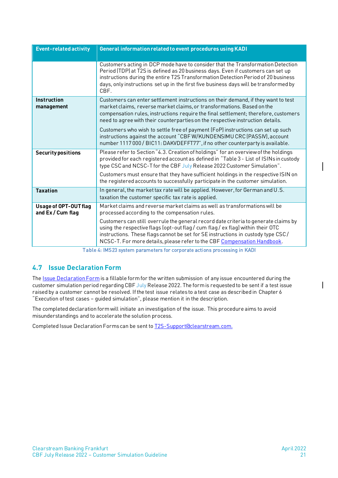| <b>Event-related activity</b>                     | General information related to event procedures using KADI                                                                                                                                                                                                                                                                                                                                                                                                             |
|---------------------------------------------------|------------------------------------------------------------------------------------------------------------------------------------------------------------------------------------------------------------------------------------------------------------------------------------------------------------------------------------------------------------------------------------------------------------------------------------------------------------------------|
|                                                   | Customers acting in DCP mode have to consider that the Transformation Detection<br>Period (TDP) at T2S is defined as 20 business days. Even if customers can set up<br>instructions during the entire T2S Transformation Detection Period of 20 business<br>days, only instructions set up in the first five business days will be transformed by<br>CBF.                                                                                                              |
| Instruction<br>management                         | Customers can enter settlement instructions on their demand, if they want to test<br>market claims, reverse market claims, or transformations. Based on the<br>compensation rules, instructions require the final settlement; therefore, customers<br>need to agree with their counterparties on the respective instruction details.                                                                                                                                   |
|                                                   | Customers who wish to settle free of payment (FoP) instructions can set up such<br>instructions against the account "CBF W/KUNDENSIMU CRC (PASSIV), account<br>number 1117 000 / BIC11: DAKVDEFFT77", if no other counterparty is available.                                                                                                                                                                                                                           |
| <b>Security positions</b>                         | Please refer to Section "4.3. Creation of holdings" for an overview of the holdings<br>provided for each registered account as defined in "Table 3 - List of ISINs in custody<br>type CSC and NCSC-T for the CBF July Release 2022 Customer Simulation".<br>Customers must ensure that they have sufficient holdings in the respective ISIN on<br>the registered accounts to successfully participate in the customer simulation.                                      |
| <b>Taxation</b>                                   | In general, the market tax rate will be applied. However, for German and U.S.<br>taxation the customer specific tax rate is applied.                                                                                                                                                                                                                                                                                                                                   |
| <b>Usage of OPT-OUT flag</b><br>and Ex / Cum flag | Market claims and reverse market claims as well as transformations will be<br>processed according to the compensation rules.<br>Customers can still overrule the general record date criteria to generate claims by<br>using the respective flags (opt-out flag / cum flag / ex flag) within their OTC<br>instructions. These flags cannot be set for SE instructions in custody type CSC/<br>NCSC-T. For more details, please refer to the CBF Compensation Handbook. |

Table 4: IMS23 system parameters for corporate actions processing in KADI

### <span id="page-20-0"></span>**4.7 Issue Declaration Form**

The **Issue Declaration Form** is a fillable form for the written submission of any issue encountered during the customer simulation period regarding CBF July Release 2022. The form is requested to be sent if a test issue raised by a customer cannot be resolved. If the test issue relates to a test case as described in Chapter 6 "Execution of test cases – guided simulation", please mention it in the description.

The completed declaration form will initiate an investigation of the issue. This procedure aims to avoid misunderstandings and to accelerate the solution process.

Completed Issue Declaration Forms can be sent t[o T2S-Support@clearstream.com](mailto:T2S-Support@clearstream.com).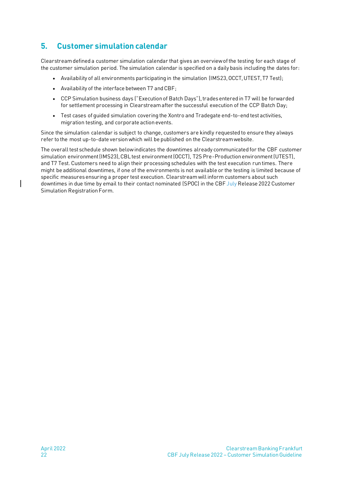# <span id="page-21-0"></span>**5. Customer simulation calendar**

Clearstream defined a customer simulation calendar that gives an overview of the testing for each stage of the customer simulation period. The simulation calendar is specified on a daily basis including the dates for:

- Availability of all environments participating in the simulation (IMS23, OCCT, UTEST, T7 Test);
- Availability of the interface between T7 and CBF;
- CCP Simulation business days ("Execution of Batch Days"), trades entered in T7 will be forwarded for settlement processing in Clearstream after the successful execution of the CCP Batch Day;
- Test cases of guided simulation covering the Xontro and Tradegate end-to-end test activities, migration testing, and corporate action events.

Since the simulation calendar is subject to change, customers are kindly requested to ensure they always refer to the most up-to-date version which will be published on th[e Clearstream website.](http://www.clearstream.com/)

The overall test schedule shown below indicates the downtimes already communicated for the CBF customer simulation environment (IMS23), CBL test environment (OCCT), T2S Pre-Production environment (UTEST), and T7 Test. Customers need to align their processing schedules with the test execution run times. There might be additional downtimes, if one of the environments is not available or the testing is limited because of specific measures ensuring a proper test execution. Clearstreamwill inform customers about such downtimes in due time by email to their contact nominated (SPOC) in the CBF July Release 2022 Customer Simulation Registration Form.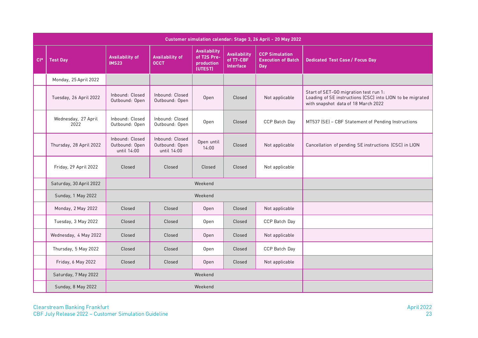|        |                             |                                                  | Customer simulation calendar: Stage 3, 26 April - 20 May 2022 |                                                             |                                                      |                                                           |                                                                                                                                           |
|--------|-----------------------------|--------------------------------------------------|---------------------------------------------------------------|-------------------------------------------------------------|------------------------------------------------------|-----------------------------------------------------------|-------------------------------------------------------------------------------------------------------------------------------------------|
| $Cl^*$ | <b>Test Day</b>             | <b>Availability of</b><br><b>IMS23</b>           | <b>Availability of</b><br><b>OCCT</b>                         | <b>Availability</b><br>of T2S Pre-<br>production<br>(UTEST) | <b>Availability</b><br>of T7-CBF<br><b>Interface</b> | <b>CCP Simulation</b><br><b>Execution of Batch</b><br>Day | <b>Dedicated Test Case/ Focus Day</b>                                                                                                     |
|        | Monday, 25 April 2022       |                                                  |                                                               |                                                             |                                                      |                                                           |                                                                                                                                           |
|        | Tuesday, 26 April 2022      | Inbound: Closed<br>Outbound: Open                | Inbound: Closed<br>Outbound: Open                             | Open                                                        | Closed                                               | Not applicable                                            | Start of SET-GO migration test run 1:<br>Loading of SE instructions (CSC) into LION to be migrated<br>with snapshot data of 18 March 2022 |
|        | Wednesday, 27 April<br>2022 | Inbound: Closed<br>Outbound: Open                | Inbound: Closed<br>Outbound: Open                             | Open                                                        | Closed                                               | CCP Batch Day                                             | MT537 (SE) - CBF Statement of Pending Instructions                                                                                        |
|        | Thursday, 28 April 2022     | Inbound: Closed<br>Outbound: Open<br>until 14:00 | Inbound: Closed<br>Outbound: Open<br>until 14:00              | Open until<br>14:00                                         | Closed                                               | Not applicable                                            | Cancellation of pending SE instructions (CSC) in LION                                                                                     |
|        | Friday, 29 April 2022       | Closed                                           | Closed                                                        | Closed                                                      | Closed                                               | Not applicable                                            |                                                                                                                                           |
|        | Saturday, 30 April 2022     |                                                  |                                                               | Weekend                                                     |                                                      |                                                           |                                                                                                                                           |
|        | Sunday, 1 May 2022          |                                                  |                                                               | Weekend                                                     |                                                      |                                                           |                                                                                                                                           |
|        | Monday, 2 May 2022          | Closed                                           | Closed                                                        | Open                                                        | Closed                                               | Not applicable                                            |                                                                                                                                           |
|        | Tuesday, 3 May 2022         | Closed                                           | Closed                                                        | Open                                                        | Closed                                               | CCP Batch Day                                             |                                                                                                                                           |
|        | Wednesday, 4 May 2022       | Closed                                           | Closed                                                        | Open                                                        | Closed                                               | Not applicable                                            |                                                                                                                                           |
|        | Thursday, 5 May 2022        | Closed                                           | Closed                                                        | Open                                                        | Closed                                               | CCP Batch Day                                             |                                                                                                                                           |
|        | Friday, 6 May 2022          | Closed                                           | Closed                                                        | Open                                                        | Closed                                               | Not applicable                                            |                                                                                                                                           |
|        | Saturday, 7 May 2022        |                                                  |                                                               | Weekend                                                     |                                                      |                                                           |                                                                                                                                           |
|        | Sunday, 8 May 2022          |                                                  |                                                               | Weekend                                                     |                                                      |                                                           |                                                                                                                                           |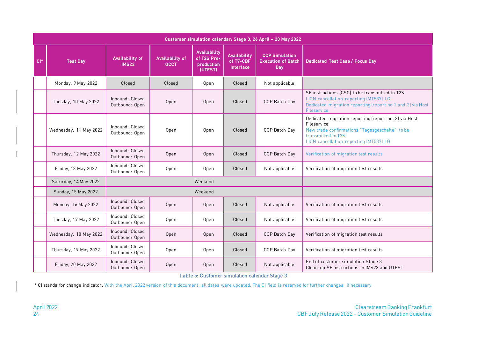| $Cl^*$ | <b>Test Day</b>        | <b>Availability of</b><br><b>IMS23</b> | <b>Availability of</b><br><b>OCCT</b> | <b>Availability</b><br>of T2S Pre-<br>production<br>(UTEST) | <b>Availability</b><br>of T7-CBF<br><b>Interface</b> | <b>CCP Simulation</b><br><b>Execution of Batch</b><br><b>Day</b> | <b>Dedicated Test Case / Focus Day</b>                                                                                                                                                 |
|--------|------------------------|----------------------------------------|---------------------------------------|-------------------------------------------------------------|------------------------------------------------------|------------------------------------------------------------------|----------------------------------------------------------------------------------------------------------------------------------------------------------------------------------------|
|        | Monday, 9 May 2022     | Closed                                 | Closed                                | Open                                                        | Closed                                               | Not applicable                                                   |                                                                                                                                                                                        |
|        | Tuesday, 10 May 2022   | Inbound: Closed<br>Outbound: Open      | Open                                  | Open                                                        | Closed                                               | CCP Batch Day                                                    | SE instructions (CSC) to be transmitted to T2S<br>LION cancellation reporting (MT537) LC<br>Dedicated migration reporting (report no.1 and 2) via Host<br>Fileservice                  |
|        | Wednesday, 11 May 2022 | Inbound: Closed<br>Outbound: Open      | Open                                  | Open                                                        | Closed                                               | CCP Batch Day                                                    | Dedicated migration reporting (report no. 3) via Host<br>Fileservice<br>New trade confirmations "Tagesgeschäfte" to be<br>transmitted to T2S<br>LION cancellation reporting (MT537) LG |
|        | Thursday, 12 May 2022  | Inbound: Closed<br>Outbound: Open      | Open                                  | Open                                                        | Closed                                               | CCP Batch Day                                                    | Verification of migration test results                                                                                                                                                 |
|        | Friday, 13 May 2022    | Inbound: Closed<br>Outbound: Open      | Open                                  | Open                                                        | Closed                                               | Not applicable                                                   | Verification of migration test results                                                                                                                                                 |
|        | Saturday, 14 May 2022  |                                        |                                       | Weekend                                                     |                                                      |                                                                  |                                                                                                                                                                                        |
|        | Sunday, 15 May 2022    |                                        |                                       | Weekend                                                     |                                                      |                                                                  |                                                                                                                                                                                        |
|        | Monday, 16 May 2022    | Inbound: Closed<br>Outbound: Open      | Open                                  | Open                                                        | Closed                                               | Not applicable                                                   | Verification of migration test results                                                                                                                                                 |
|        | Tuesday, 17 May 2022   | Inbound: Closed<br>Outbound: Open      | Open                                  | Open                                                        | Closed                                               | Not applicable                                                   | Verification of migration test results                                                                                                                                                 |
|        | Wednesday, 18 May 2022 | Inbound: Closed<br>Outbound: Open      | Open                                  | Open                                                        | Closed                                               | CCP Batch Day                                                    | Verification of migration test results                                                                                                                                                 |
|        | Thursday, 19 May 2022  | Inbound: Closed<br>Outbound: Open      | Open                                  | Open                                                        | Closed                                               | CCP Batch Day                                                    | Verification of migration test results                                                                                                                                                 |
|        | Friday, 20 May 2022    | Inbound: Closed<br>Outbound: Open      | Open                                  | Open                                                        | Closed                                               | Not applicable                                                   | End of customer simulation Stage 3<br>Clean-up SE instructions in IMS23 and UTEST                                                                                                      |

Table 5: Customer simulation calendar Stage 3

\* CI stands for change indicator. With the April 2022 version of this document, all dates were updated. The CI field is reserved for further changes, if necessary.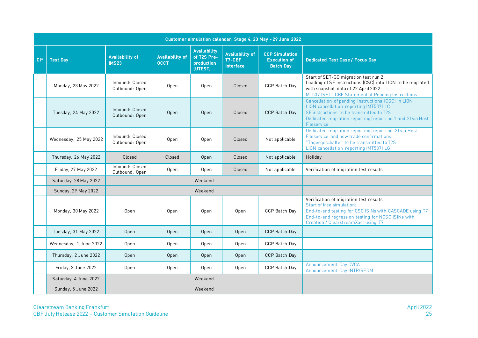|       |                        |                                        | Customer simulation calendar: Stage 4, 23 May - 29 June 2022 |                                                             |                                                      |                                                                  |                                                                                                                                                                                                                           |
|-------|------------------------|----------------------------------------|--------------------------------------------------------------|-------------------------------------------------------------|------------------------------------------------------|------------------------------------------------------------------|---------------------------------------------------------------------------------------------------------------------------------------------------------------------------------------------------------------------------|
| $CI*$ | <b>Test Day</b>        | <b>Availability of</b><br><b>IMS23</b> | <b>Availability of</b><br><b>OCCT</b>                        | <b>Availability</b><br>of T2S Pre-<br>production<br>(UTEST) | <b>Availability of</b><br>T7-CBF<br><b>Interface</b> | <b>CCP Simulation</b><br><b>Execution of</b><br><b>Batch Day</b> | <b>Dedicated Test Case / Focus Day</b>                                                                                                                                                                                    |
|       | Monday, 23 May 2022    | Inbound: Closed<br>Outbound: Open      | Open                                                         | Open                                                        | Closed                                               | CCP Batch Day                                                    | Start of SET-GO migration test run 2:<br>Loading of SE instructions (CSC) into LION to be migrated<br>with snapshot data of 22 April 2022<br>MT537 (SE) - CBF Statement of Pending Instructions                           |
|       | Tuesday, 24 May 2022   | Inbound: Closed<br>Outbound: Open      | Open                                                         | Open                                                        | Closed                                               | CCP Batch Day                                                    | Cancellation of pending instructions (CSC) in LION<br>LION cancellation reporting (MT537) LC<br>SE instructions to be transmitted to T2S<br>Dedicated migration reporting (report no.1 and 2) via Host<br>Fileservice     |
|       | Wednesday, 25 May 2022 | Inbound: Closed<br>Outbound: Open      | Open                                                         | Open                                                        | Closed                                               | Not applicable                                                   | Dedicated migration reporting (report no. 3) via Host<br>Fileservice and new trade confirmations<br>"Tagesgeschäfte" to be transmitted to T2S<br>LION cancellation reporting (MT537) LG                                   |
|       | Thursday, 26 May 2022  | Closed                                 | Closed                                                       | Open                                                        | Closed                                               | Not applicable                                                   | Holiday                                                                                                                                                                                                                   |
|       | Friday, 27 May 2022    | Inbound: Closed<br>Outbound: Open      | Open                                                         | Open                                                        | Closed                                               | Not applicable                                                   | Verification of migration test results                                                                                                                                                                                    |
|       | Saturday, 28 May 2022  |                                        |                                                              | Weekend                                                     |                                                      |                                                                  |                                                                                                                                                                                                                           |
|       | Sunday, 29 May 2022    |                                        |                                                              | Weekend                                                     |                                                      |                                                                  |                                                                                                                                                                                                                           |
|       | Monday, 30 May 2022    | Open                                   | Open                                                         | Open                                                        | Open                                                 | CCP Batch Day                                                    | Verification of migration test results<br>Start of free simulation:<br>End-to-end testing for CSC ISINs with CASCADE using T7<br>End-to-end regression testing for NCSC ISINs with<br>Creation / ClearstreamXact using T7 |
|       | Tuesday, 31 May 2022   | Open                                   | Open                                                         | Open                                                        | Open                                                 | CCP Batch Day                                                    |                                                                                                                                                                                                                           |
|       | Wednesday, 1 June 2022 | Open                                   | Open                                                         | Open                                                        | Open                                                 | CCP Batch Day                                                    |                                                                                                                                                                                                                           |
|       | Thursday, 2 June 2022  | Open                                   | Open                                                         | Open                                                        | Open                                                 | CCP Batch Day                                                    |                                                                                                                                                                                                                           |
|       | Friday, 3 June 2022    | Open                                   | Open                                                         | Open                                                        | Open                                                 | CCP Batch Day                                                    | Announcement Day DVCA<br>Announcement Day INTR/REDM                                                                                                                                                                       |
|       | Saturday, 4 June 2022  |                                        |                                                              | Weekend                                                     |                                                      |                                                                  |                                                                                                                                                                                                                           |
|       | Sunday, 5 June 2022    |                                        |                                                              | Weekend                                                     |                                                      |                                                                  |                                                                                                                                                                                                                           |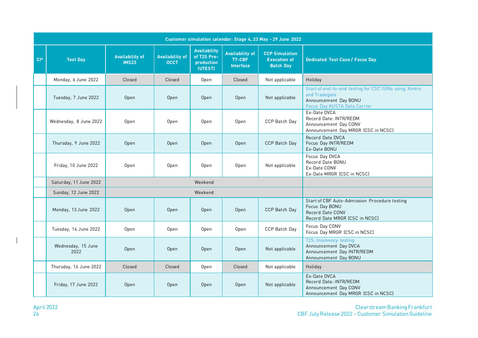|          | Customer simulation calendar: Stage 4, 23 May - 29 June 2022 |                                        |                                       |                                                             |                                                      |                                                                  |                                                                                                                                  |
|----------|--------------------------------------------------------------|----------------------------------------|---------------------------------------|-------------------------------------------------------------|------------------------------------------------------|------------------------------------------------------------------|----------------------------------------------------------------------------------------------------------------------------------|
| $ CI^* $ | <b>Test Day</b>                                              | <b>Availability of</b><br><b>IMS23</b> | <b>Availability of</b><br><b>OCCT</b> | <b>Availability</b><br>of T2S Pre-<br>production<br>(UTEST) | <b>Availability of</b><br>T7-CBF<br><b>Interface</b> | <b>CCP Simulation</b><br><b>Execution of</b><br><b>Batch Day</b> | <b>Dedicated Test Case / Focus Day</b>                                                                                           |
|          | Monday, 6 June 2022                                          | Closed                                 | Closed                                | Open                                                        | Closed                                               | Not applicable                                                   | Holiday                                                                                                                          |
|          | Tuesday, 7 June 2022                                         | Open                                   | Open                                  | Open                                                        | Open                                                 | Not applicable                                                   | Start of end-to-end testing for CSC ISINs using Xontro<br>and Tradegate<br>Announcement Day BONU<br>Focus Day KUSTA Data Carrier |
|          | Wednesday, 8 June 2022                                       | Open                                   | Open                                  | Open                                                        | Open                                                 | CCP Batch Day                                                    | Ex-Date DVCA<br>Record Date: INTR/REDM<br>Announcement Day CONV<br>Announcement Day MRGR (CSC in NCSC)                           |
|          | Thursday, 9 June 2022                                        | Open                                   | Open                                  | Open                                                        | Open                                                 | CCP Batch Day                                                    | Record Date DVCA<br>Focus Day INTR/REDM<br>Ex-Date BONU                                                                          |
|          | Friday, 10 June 2022                                         | Open                                   | Open                                  | Open                                                        | Open                                                 | Not applicable                                                   | Focus Day DVCA<br>Record Date BONU<br>Ex-Date CONV<br>Ex-Date MRGR (CSC in NCSC)                                                 |
|          | Saturday, 11 June 2022                                       |                                        |                                       | Weekend                                                     |                                                      |                                                                  |                                                                                                                                  |
|          | Sunday, 12 June 2022                                         |                                        |                                       | Weekend                                                     |                                                      |                                                                  |                                                                                                                                  |
|          | Monday, 13 June 2022                                         | Open                                   | Open                                  | Open                                                        | Open                                                 | CCP Batch Day                                                    | Start of CBF Auto-Admission Procedure testing<br>Focus Day BONU<br>Record Date CONV<br>Record Date MRGR (CSC in NCSC)            |
|          | Tuesday, 14 June 2022                                        | Open                                   | Open                                  | Open                                                        | Open                                                 | CCP Batch Day                                                    | Focus Day CONV<br>Focus Day MRGR (CSC in NCSC)                                                                                   |
|          | Wednesday, 15 June<br>2022                                   | Open                                   | Open                                  | Open                                                        | Open                                                 | Not applicable                                                   | T2S: Insolvency testing<br>Announcement Day DVCA<br>Announcement Day INTR/REDM<br>Announcement Day BONU                          |
|          | Thursday, 16 June 2022                                       | Closed                                 | Closed                                | Open                                                        | Closed                                               | Not applicable                                                   | Holiday                                                                                                                          |
|          | Friday, 17 June 2022                                         | Open                                   | Open                                  | Open                                                        | Open                                                 | Not applicable                                                   | Ex-Date DVCA<br>Record Date: INTR/REDM<br>Announcement Day CONV<br>Announcement Day MRGR (CSC in NCSC)                           |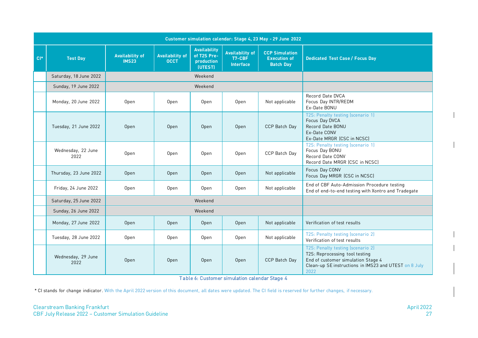| Customer simulation calendar: Stage 4, 23 May - 29 June 2022 |                            |                                        |                                       |                                                             |                                                      |                                                                  |                                                                                                                                                                            |
|--------------------------------------------------------------|----------------------------|----------------------------------------|---------------------------------------|-------------------------------------------------------------|------------------------------------------------------|------------------------------------------------------------------|----------------------------------------------------------------------------------------------------------------------------------------------------------------------------|
| $CI*$                                                        | <b>Test Day</b>            | <b>Availability of</b><br><b>IMS23</b> | <b>Availability of</b><br><b>OCCT</b> | <b>Availability</b><br>of T2S Pre-<br>production<br>(UTEST) | <b>Availability of</b><br>T7-CBF<br><b>Interface</b> | <b>CCP Simulation</b><br><b>Execution of</b><br><b>Batch Day</b> | <b>Dedicated Test Case / Focus Day</b>                                                                                                                                     |
|                                                              | Saturday, 18 June 2022     |                                        |                                       | Weekend                                                     |                                                      |                                                                  |                                                                                                                                                                            |
|                                                              | Sunday, 19 June 2022       |                                        |                                       | Weekend                                                     |                                                      |                                                                  |                                                                                                                                                                            |
|                                                              | Monday, 20 June 2022       | Open                                   | Open                                  | Open                                                        | Open                                                 | Not applicable                                                   | Record Date DVCA<br>Focus Day INTR/REDM<br>Ex-Date BONU                                                                                                                    |
|                                                              | Tuesday, 21 June 2022      | Open                                   | Open                                  | Open                                                        | Open                                                 | CCP Batch Day                                                    | T2S: Penalty testing (scenario 1)<br>Focus Day DVCA<br>Record Date BONU<br>Ex-Date CONV<br>Ex-Date MRGR (CSC in NCSC)                                                      |
|                                                              | Wednesday, 22 June<br>2022 | Open                                   | Open                                  | Open                                                        | Open                                                 | CCP Batch Day                                                    | T2S: Penalty testing (scenario 1)<br>Focus Day BONU<br>Record Date CONV<br>Record Date MRGR (CSC in NCSC)                                                                  |
|                                                              | Thursday, 23 June 2022     | Open                                   | Open                                  | Open                                                        | Open                                                 | Not applicable                                                   | Focus Day CONV<br>Focus Day MRGR (CSC in NCSC)                                                                                                                             |
|                                                              | Friday, 24 June 2022       | Open                                   | Open                                  | Open                                                        | Open                                                 | Not applicable                                                   | End of CBF Auto-Admission Procedure testing<br>End of end-to-end testing with Xontro and Tradegate                                                                         |
|                                                              | Saturday, 25 June 2022     |                                        |                                       | Weekend                                                     |                                                      |                                                                  |                                                                                                                                                                            |
|                                                              | Sunday, 26 June 2022       |                                        | Weekend                               |                                                             |                                                      |                                                                  |                                                                                                                                                                            |
|                                                              | Monday, 27 June 2022       | Open                                   | Open                                  | Open                                                        | Open                                                 | Not applicable                                                   | Verification of test results                                                                                                                                               |
|                                                              | Tuesday, 28 June 2022      | Open                                   | Open                                  | Open                                                        | Open                                                 | Not applicable                                                   | T2S: Penalty testing (scenario 2)<br>Verification of test results                                                                                                          |
|                                                              | Wednesday, 29 June<br>2022 | Open                                   | Open                                  | Open                                                        | Open                                                 | CCP Batch Dav                                                    | T2S: Penalty testing (scenario 2)<br>T2S: Reprocessing tool testing<br>End of customer simulation Stage 4<br>Clean-up SE instructions in IMS23 and UTEST on 8 July<br>2022 |

Table 6: Customer simulation calendar Stage 4

\* CI stands for change indicator. With the April 2022 version of this document, all dates were updated. The CI field is reserved for further changes, if necessary.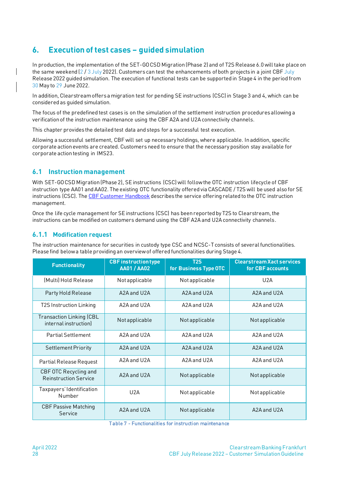# <span id="page-27-0"></span>**6. Execution of test cases – guided simulation**

In production, the implementation of the SET-GO CSD Migration (Phase 2) and of T2S Release 6.0 will take place on the same weekend  $(2/3 \text{ July } 2022)$ . Customers can test the enhancements of both projects in a joint CBF July Release 2022 guided simulation. The execution of functional tests can be supported in Stage 4 in the period from 30 May to 29 June 2022.

In addition, Clearstream offers a migration test for pending SE instructions (CSC) in Stage 3 and 4, which can be considered as guided simulation.

The focus of the predefined test cases is on the simulation of the settlement instruction procedures allowing a verification of the instruction maintenance using the CBF A2A and U2A connectivity channels.

This chapter provides the detailed test data and steps for a successful test execution.

Allowing a successful settlement, CBF will set up necessary holdings, where applicable. In addition, specific corporate action events are created. Customers need to ensure that the necessary position stay available for corporate action testing in IMS23.

### <span id="page-27-1"></span>**6.1 Instruction management**

With SET-GO CSD Migration (Phase 2), SE instructions (CSC) will follow the OTC instruction lifecycle of CBF instruction type AA01 and AA02. The existing OTC functionality offered via CASCADE / T2S will be used also for SE instructions (CSC). The [CBF Customer Handbook](https://www.clearstream.com/resource/blob/1314846/d3e8c25564ead0803dec9683518e29d9/cbf-customer-handbook-en-data.pdf) describes the service offering related to the OTC instruction management.

Once the life cycle management for SE instructions (CSC) has been reported by T2S to Clearstream, the instructions can be modified on customers demand using the CBF A2A and U2A connectivity channels.

### <span id="page-27-2"></span>**6.1.1 Modification request**

The instruction maintenance for securities in custody type CSC and NCSC-T consists of several functionalities. Please find below a table providing an overview of offered functionalities during Stage 4.

| <b>Functionality</b>                                     | <b>CBF</b> instruction type<br><b>AA01 / AA02</b> | <b>T2S</b><br>for Business Type OTC | <b>Clearstream Xact services</b><br>for CBF accounts |
|----------------------------------------------------------|---------------------------------------------------|-------------------------------------|------------------------------------------------------|
| (Multi) Hold Release                                     | Not applicable                                    | Not applicable                      | U2A                                                  |
| Party Hold Release                                       | A2A and U2A                                       | A2A and U2A                         | A2A and U2A                                          |
| <b>T2S Instruction Linking</b>                           | $A$ 2A and U2A                                    | A2A and U2A                         | $A$ 2A and U2A                                       |
| <b>Transaction Linking (CBL</b><br>internal instruction) | Not applicable                                    | Not applicable                      | Not applicable                                       |
| <b>Partial Settlement</b>                                | A2A and U2A                                       | A2A and U2A                         | A2A and U2A                                          |
| <b>Settlement Priority</b>                               | A2A and U2A                                       | A2A and U2A                         | A2A and U2A                                          |
| Partial Release Request                                  | A2A and U2A                                       | A2A and U2A                         | A2A and U2A                                          |
| CBF OTC Recycling and<br><b>Reinstruction Service</b>    | A2A and U2A                                       | Not applicable                      | Not applicable                                       |
| Taxpayers' Identification<br>Number                      | U2A                                               | Not applicable                      | Not applicable                                       |
| <b>CBF Passive Matching</b><br>Service                   | A2A and U2A                                       | Not applicable                      | A2A and U2A                                          |

Table 7 - Functionalities for instruction maintenance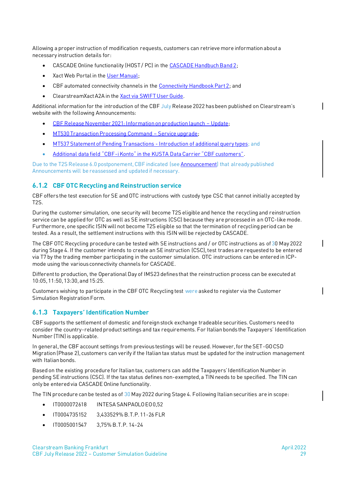Allowing a proper instruction of modification requests, customers can retrieve more information about a necessary instruction details for:

- CASCADE Online functionality (HOST / PC) in th[e CASCADE Handbuch Band 2;](https://www.clearstream.com/resource/blob/1312518/e9d6272373e3400fe7f3e254ce0531a8/cascade-handbuch-band-2-de-data.pdf)
- Xact Web Portal in the [User Manual;](https://www.clearstream.com/resource/blob/1311454/43764a5e3a246a4302b6613aeddfdd1a/xactuserguide-en-data.pdf)
- CBF automated connectivity channels in th[e Connectivity Handbook Part 2;](https://www.clearstream.com/resource/blob/1312490/49cb6d68770fe8d11873e5761ddcc0eb/cbf-connectivity-handbook-part-2-en-data.pdf) and
- ClearstreamXact A2A in th[e Xact via SWIFT User Guide.](https://www.clearstream.com/resource/blob/1313040/24c465aa8328ab6f4c5ce465ad262097/swift-ug-pre-issue-data.pdf)

Additional information for the introduction of the CBF July Release 2022 has been published on Clearstream's website with the following Announcements:

- [CBF Release November 2021: Information on production launch](https://www.clearstream.com/clearstream-en/products-and-services/settlement/d21039-2775232)  Update;
- [MT530 Transaction Processing Command](https://www.clearstream.com/clearstream-en/products-and-services/settlement/d21021-2622058)  Service upgrade;
- [MT537 Statement of Pending Transactions -](https://www.clearstream.com/clearstream-en/products-and-services/settlement/d22006-2929234) Introduction of additional query types; and
- Additional data field "CBF-[i Konto" in the KUSTA Data Carrier "CBF customers"](https://www.clearstream.com/clearstream-en/products-and-services/settlement/d22019-3026986).

Due to the T2S Release 6.0 postponement, CBF indicated (se[e Announcement\)](https://www.clearstream.com/clearstream-en/products-and-services/settlement/d22011-2989032) that already published Announcements will be reassessed and updated if necessary.

#### <span id="page-28-0"></span>**6.1.2 CBF OTC Recycling and Reinstruction service**

CBF offersthe test execution for SE and OTC instructions with custody type CSC that cannot initially accepted by T2S.

During the customer simulation, one security will become T2S eligible and hence the recycling and reinstruction service can be applied for OTC as well as SE instructions (CSC) because they are processed in an OTC-like mode. Furthermore, one specific ISIN will not become T2S eligible so that the termination of recycling period can be tested. As a result, the settlement instructions with this ISIN will be rejected by CASCADE.

The CBF OTC Recycling procedure can be tested with SE instructions and / or OTC instructions as of 30 May 2022 during Stage 4. If the customer intends to create an SE instruction (CSC), test trades are requested to be entered via T7 by the trading member participating in the customer simulation. OTC instructions can be entered in ICPmode using the various connectivity channels for CASCADE.

Different to production, the Operational Day of IMS23 defines that the reinstruction process can be executed at 10:05, 11:50, 13:30, and 15:25.

Customers wishing to participate in the CBF OTC Recycling test were asked to register via the Customer Simulation Registration Form.

#### <span id="page-28-1"></span>**6.1.3 Taxpayers' Identification Number**

CBF supports the settlement of domestic and foreign stock exchange tradeable securities. Customers need to consider the country-related product settings and tax requirements. For Italian bonds the Taxpayers' Identification Number (TIN) is applicable.

In general, the CBF account settings from previous testings will be reused. However, for the SET-GO CSD Migration (Phase 2), customers can verify if the Italian tax status must be updated for the instruction management with Italian bonds.

Based on the existing procedure for Italian tax, customers can add the Taxpayers' Identification Number in pending SE instructions (CSC). If the tax status defines non-exempted, a TIN needs to be specified. The TIN can only be entered via CASCADE Online functionality.

The TIN procedure can be tested as of 30 May 2022 during Stage 4. Following Italian securities are in scope:

- IT0000072618 INTESA SANPAOLO EO 0,52
- IT0004735152 3,433529% B.T.P. 11-26 FLR
- IT0005001547 3,75% B.T.P. 14-24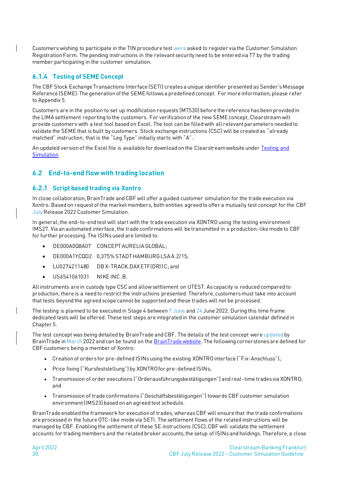Customers wishing to participate in the TIN procedure test were asked to register via the Customer Simulation Registration Form. The pending instructions in the relevant security need to be entered via T7 by the trading member participating in the customer simulation.

### <span id="page-29-0"></span>**6.1.4 Testing of SEME Concept**

The CBF Stock Exchange Transactions Interface (SETI) creates a unique identifier presented as Sender's Message Reference (SEME). The generation of the SEME follows a predefined concept. For more information, please refer to Appendix 5.

Customers are in the position to set up modification requests (MT530) before the reference has been provided in the LIMA settlement reporting to the customers. For verification of the new SEME concept, Clearstream will provide customers with a test tool based on Excel. The tool can be filled with all relevant parameters needed to validate the SEME that is built by customers. Stock exchange instructions (CSC) will be created as "already matched" instruction, that is the "Leg Type" initially starts with "A".

An updated version of the Excel file is available for download on the Clearstream website under [Testing and](https://www.clearstream.com/clearstream-en/products-and-services/connectivity-1-/cascade/testing-and-simulation)  [Simulation.](https://www.clearstream.com/clearstream-en/products-and-services/connectivity-1-/cascade/testing-and-simulation)

# <span id="page-29-1"></span>**6.2 End-to-end flow with trading location**

### <span id="page-29-2"></span>**6.2.1 Script based trading via Xontro**

In close collaboration, BrainTrade and CBF will offer a guided customer simulation for the trade execution via Xontro. Based on request of the market members, both entities agreed to offer a mutually test concept for the CBF July Release 2022 Customer Simulation.

In general, the end-to-end test will start with the trade execution via XONTRO using the testing environment IMS27. Via an automated interface, the trade confirmations will be transmitted in a production-like mode to CBF for further processing. The ISINs used are limited to:

- DE000A0Q8A07 CONCEPT AURELIA GLOBAL;
- DE000A1YCQD2 0,375% STADT HAMBURG LSA A.2/15;
- LU0274211480 DB X-TRACK.DAX ETF(DR)1C; and
- US6541061031 NIKE INC. B.

All instruments are in custody type CSCand allow settlement on UTEST. As capacity is reduced compared to production, there is a need to restrict the instructions presented. Therefore, customers must take into account that tests beyond the agreed scope cannot be supported and these trades will not be processed.

The testing is planned to be executed in Stage 4 between 7 June and 24 June 2022. During this time frame dedicated tests will be offered. These test steps are integrated in the customer simulation calendar defined in Chapter 5.

The test concept was being detailed by BrainTrade and CBF. The details of the test concept were updated by BrainTrade in March 2022 and can be found on the [BrainTrade website.](https://xontro.de/index.php?id=9&L=790) The following cornerstones are defined for CBF customers being a member of Xontro:

- Creation of orders for pre-defined ISINs using the existing XONTRO interface ("Fix-Anschluss");
- Price fixing ("Kursfeststellung") by XONTRO for pre-defined ISINs;
- Transmission of order executions ("Orderausführungsbestätigungen") and real-time trades via XONTRO; and
- Transmission of trade confirmations ("Geschäftsbestätigungen") towards CBF customer simulation environment (IMS23) based on an agreed test schedule.

BrainTrade enabled the framework for execution of trades, whereas CBF will ensure that the trade confirmations are processed in the future OTC-like mode via SETI. The settlement flows of the related instructions will be managed by CBF. Enabling the settlement of these SE instructions (CSC), CBF will validate the settlement accounts for trading members and the related broker accounts, the setup of ISINs and holdings. Therefore, a close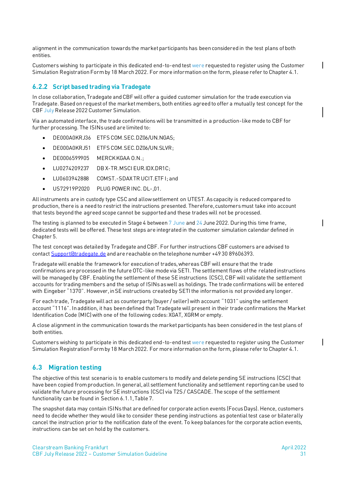alignment in the communication towards the market participants has been considered in the test plans of both entities.

Customers wishing to participate in this dedicated end-to-end test were requested to register using the Customer Simulation Registration Form by 18 March 2022. For more information on the form, please refer to Chapter 4.1.

#### <span id="page-30-0"></span>**6.2.2 Script based trading via Tradegate**

In close collaboration, Tradegate and CBF will offer a guided customer simulation for the trade execution via Tradegate. Based on request of the market members, both entities agreed to offer a mutually test concept for the CBF July Release 2022 Customer Simulation.

Via an automated interface, the trade confirmations will be transmitted in a production-like mode to CBF for further processing. The ISINs used are limited to:

- DE000A0KRJ36 ETFS COM.SEC.DZ06/UN.NGAS;
- DE000A0KRJ51 ETFS COM.SEC.DZ06/UN.SLVR;
- DE0006599905 MERCK KGAA O.N.;
- LU0274209237 DB X-TR.MSCI EUR.IDX.DR1C;
- LU0603942888 COMST.-SDAX TR UCIT. FTF I: and
- US72919P2020 PLUG POWER INC. DL-,01.

All instruments are in custody type CSCand allow settlement on UTEST. As capacity is reduced compared to production, there is a need to restrict the instructions presented. Therefore, customers must take into account that tests beyond the agreed scope cannot be supported and these trades will not be processed.

The testing is planned to be executed in Stage 4 between 7 June and 24 June 2022. During this time frame, dedicated tests will be offered. These test steps are integrated in the customer simulation calendar defined in Chapter 5.

The test concept was detailed by Tradegate and CBF. For further instructions CBF customers are advised to contac[t Support@tradegate.de](mailto:Support@tradegate.de) and are reachable on the telephone number +49 30 89606393.

Tradegate will enable the framework for execution of trades, whereas CBF will ensure that the trade confirmations are processed in the future OTC-like mode via SETI. The settlement flows of the related instructions will be managed by CBF. Enabling the settlement of these SE instructions (CSC), CBF will validate the settlement accounts for trading members and the setup of ISINs as well as holdings. The trade confirmations will be entered with Eingeber "1370". However, in SE instructions created by SETI the information is not provided any longer.

For each trade, Tradegate will act as counterparty (buyer / seller) with account "1031" using the settlement account "1116". In addition, it has been defined that Tradegate will present in their trade confirmations the Market Identification Code (MIC) with one of the following codes: XGAT, XGRM or empty.

A close alignment in the communication towards the market participants has been considered in the test plans of both entities.

Customers wishing to participate in this dedicated end-to-end test were requested to register using the Customer Simulation Registration Form by 18 March 2022. For more information on the form, please refer to Chapter 4.1.

#### <span id="page-30-1"></span>**6.3 Migration testing**

The objective of this test scenario is to enable customers to modify and delete pending SE instructions (CSC) that have been copied from production. In general, all settlement functionality and settlement reporting can be used to validate the future processing for SE instructions (CSC) via T2S / CASCADE. The scope of the settlement functionality can be found in Sectio[n 6.1.1](#page-27-2), Table 7.

The snapshot data may contain ISINs that are defined for corporate action events (Focus Days). Hence, customers need to decide whether they would like to consider these pending instructions as potential test case or bilaterally cancel the instruction prior to the notification date of the event. To keep balances for the corporate action events, instructions can be set on hold by the customers.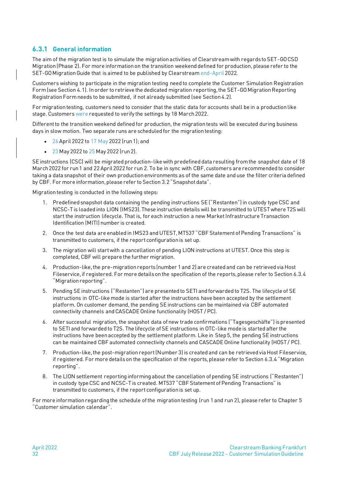# <span id="page-31-0"></span>**6.3.1 General information**

The aim of the migration test is to simulate the migration activities of Clearstream with regards to SET-GO CSD Migration (Phase 2). For more information on the transition weekend defined for production, please refer to the SET-GO Migration Guide that is aimed to be published by Clearstream end-April 2022.

Customers wishing to participate in the migration testing need to complete the Customer Simulation Registration Form (see Section 4.1). In order to retrieve the dedicated migration reporting, the SET-GO Migration Reporting Registration Form needs to be submitted, if not already submitted (see Section 4.2).

For migration testing, customers need to consider that the static data for accounts shall be in a production like stage. Customers were requested to verify the settings by 18 March 2022.

Different to the transition weekend defined for production, the migration tests will be executed during business days in slow motion. Two separate runs are scheduled for the migration testing:

- 26 April 2022 to 17 May 2022 (run 1); and
- 23 May 2022 to 25 May 2022 (run 2).

SE instructions (CSC) will be migrated production-like with predefined data resulting from the snapshot date of 18 March 2022 for run 1 and 22 April 2022 for run 2. To be in sync with CBF, customers are recommended to consider taking a data snapshot of their own production environments as of the same date and use the filter criteria defined by CBF. For more information, please refer to Section 3.2 "Snapshot data".

Migration testing is conducted in the following steps:

- 1. Predefined snapshot data containing the pending instructions SE ("Restanten") in custody type CSC and NCSC-T is loaded into LION (IMS23).These instruction details will be transmitted to UTEST where T2S will start the instruction lifecycle. That is, for each instruction a new Market Infrastructure Transaction Identification (MITI) number is created.
- 2. Once the test data are enabled in IMS23 and UTEST, MT537 "CBF Statement of Pending Transactions" is transmitted to customers, if the report configuration is set up.
- 3. The migration will start with a cancellation of pending LION instructions at UTEST. Once this step is completed, CBF will prepare the further migration.
- 4. Production-like, the pre-migration reports (number 1 and 2) are created and can be retrieved via Host Fileservice, if registered. For more details on the specification of the reports, please refer to Sectio[n 6.3.4](#page-32-2) "Migration reporting".
- 5. Pending SE instructions ("Restanten") are presented to SETI and forwarded to T2S. The lifecycle of SE instructions in OTC-like mode is started after the instructions have been accepted by the settlement platform. On customer demand, the pending SE instructions can be maintained via CBF automated connectivity channels and CASCADE Online functionality (HOST / PC).
- 6. After successful migration, the snapshot data of new trade confirmations ("Tagesgeschäfte") is presented to SETI and forwarded to T2S. The lifecycle of SE instructions in OTC-like mode is started after the instructions have been accepted by the settlement platform. Like in Step 5, the pending SE instructions can be maintained CBF automated connectivity channels and CASCADE Online functionality (HOST / PC).
- 7. Production-like, the post-migration report (Number 3) is created and can be retrieved via Host Fileservice, if registered. For more details on the specification of the reports, please refer to Section [6.3.4](#page-32-2) "Migration reporting".
- 8. The LION settlement reporting informing about the cancellation of pending SE instructions ("Restanten") in custody type CSC and NCSC-T is created. MT537 "CBF Statement of Pending Transactions" is transmitted to customers, if the report configuration is set up.

For more information regarding the schedule of the migration testing (run 1 and run 2), please refer to Chapter 5 "Customer simulation calendar".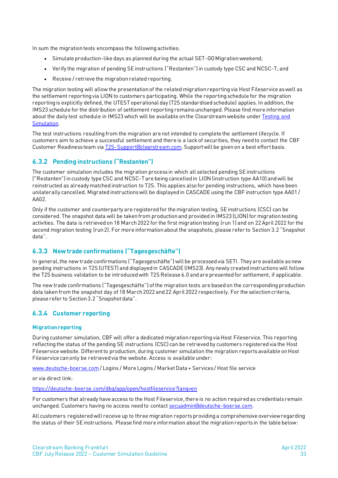In sum the migration tests encompass the following activities:

- Simulate production-like days as planned during the actual SET-GO Migration weekend;
- Verify the migration of pending SE instructions ("Restanten") in custody type CSC and NCSC-T; and
- Receive / retrieve the migration related reporting.

The migration testing will allow the presentation of the related migration reporting via Host Fileservice as well as the settlement reporting via LION to customers participating. While the reporting schedule for the migration reporting is explicitly defined, the UTEST operational day (T2S standardised schedule) applies. In addition, the IMS23 schedule for the distribution of settlement reporting remains unchanged. Please find more information about the daily test schedule in IMS23 which will be available on th[e Clearstream website](http://www.clearstream.com/) unde[r Testing and](https://www.clearstream.com/clearstream-en/products-and-services/connectivity-1-/cascade/testing-and-simulation)  [Simulation.](https://www.clearstream.com/clearstream-en/products-and-services/connectivity-1-/cascade/testing-and-simulation)

The test instructions resulting from the migration are not intended to complete the settlement lifecycle. If customers aim to achieve a successful settlement and there is a lack of securities, they need to contact the CBF Customer Readiness team vi[a T2S-Support@clearstream.com.](mailto:T2S-Support@clearstream.com) Support will be given on a best effort basis.

#### <span id="page-32-0"></span>**6.3.2 Pending instructions ("Restanten")**

The customer simulation includes the migration process in which all selected pending SE instructions ("Restanten") in custody type CSC and NCSC-T are being cancelled in LION (instruction type AA10) and will be reinstructed as already matched instruction to T2S. This applies also for pending instructions, which have been unilaterally cancelled. Migrated instructions will be displayed in CASCADE using the CBF instruction type AA01 / AA02.

Only if the customer and counterparty are registered for the migration testing, SE instructions (CSC) can be considered. The snapshot data will be taken from production and provided in IMS23 (LION) for migration testing activities. The data is retrieved on 18 March 2022 for the first migration testing (run 1) and on 22 April 2022 for the second migration testing (run 2). For more information about the snapshots, please refer to Sectio[n 3.2](#page-11-0) "[Snapshot](#page-11-0)  [data](#page-11-0)".

#### <span id="page-32-1"></span>**6.3.3 New trade confirmations ("Tagesgeschäfte")**

In general, the new trade confirmations ("Tagesgeschäfte") will be processed via SETI. They are available as new pending instructions in T2S (UTEST) and displayed in CASCADE (IMS23). Any newly created instructions will follow the T2S business validation to be introduced with T2S Release 6.0 and are presented for settlement, if applicable.

The new trade confirmations ("Tagesgeschäfte") of the migration tests are based on the corresponding production data taken from the snapshot day of 18 March 2022 and 22 April 2022 respectively. For the selection criteria, please refer to Section 3.2 "Snapshot data".

### <span id="page-32-2"></span>**6.3.4 Customer reporting**

#### <span id="page-32-3"></span>**Migration reporting**

During customer simulation, CBF will offer a dedicated migration reporting via Host Fileservice. This reporting reflecting the status of the pending SE instructions (CSC) can be retrieved by customers registered via the Host Fileservice website. Different to production, during customer simulation the migration reports available on Host Fileservice can only be retrieved via the website. Access is available under:

[www.deutsche-boerse.com](http://www.deutsche-boerse.com/)/ Logins / More Logins / Market Data + Services / Host file service

or via direct link:

<https://deutsche-boerse.com/dbg/app/open/hostfileservice?lang=en>

For customers that already have access to the Host Fileservice, there is no action required as credentials remain unchanged. Customers having no access need to contac[t secuadmin@deutsche-boerse.com.](mailto:secuadmin@deutsche-boerse.com)

All customers registered will receive up to three migration reports providing a comprehensive overview regarding the status of their SE instructions. Please find more information about the migration reports in the table below: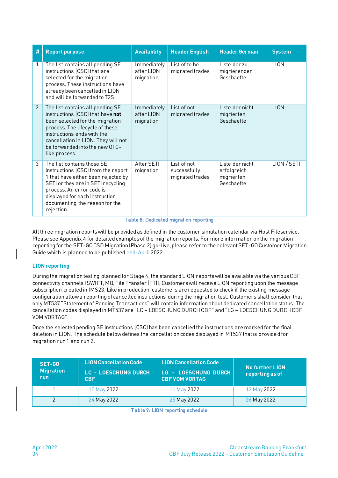| # | <b>Report purpose</b>                                                                                                                                                                                                                                              | <b>Availablity</b>                     | <b>Header English</b>                          | <b>Header German</b>                                       | <b>System</b> |
|---|--------------------------------------------------------------------------------------------------------------------------------------------------------------------------------------------------------------------------------------------------------------------|----------------------------------------|------------------------------------------------|------------------------------------------------------------|---------------|
|   | The list contains all pending SE<br>instructions (CSC) that are<br>selected for the migration<br>process. These instructions have<br>already been cancelled in LION<br>and will be forwarded to T2S.                                                               | Immediately<br>after LION<br>migration | List of to be<br>migrated trades               | Liste der zu<br>migrierenden<br>Geschaefte                 | <b>LION</b>   |
| 2 | The list contains all pending SE<br>instructions (CSC) that have not<br>been selected for the migration<br>process. The lifecycle of these<br>instructions ends with the<br>cancellation in LION. They will not<br>be forwarded into the new OTC-<br>like process. | Immediately<br>after LION<br>migration | List of not<br>migrated trades                 | Liste der nicht<br>migrierten<br>Geschaefte                | <b>LION</b>   |
| 3 | The list contains those SE<br>instructions (CSC) from the report<br>1 that have either been rejected by<br>SETI or they are in SETI recycling<br>process. An error code is<br>displayed for each instruction<br>documenting the reason for the<br>rejection.       | After SETI<br>migration                | List of not<br>successfully<br>migrated trades | Liste der nicht<br>erfolgreich<br>migrierten<br>Geschaefte | LION / SETI   |

#### Table 8: Dedicated migration reporting

All three migration reports will be provided as defined in the customer simulation calendar via Host Fileservice. Please see Appendix 4 for detailed examples of the migration reports. For more information on the migration reporting for the SET-GO CSD Migration (Phase 2) go-live, please refer to the relevant SET-GO Customer Migration Guide which is planned to be published end-April 2022.

#### <span id="page-33-0"></span>**LIONreporting**

During the migration testing planned for Stage 4, the standard LION reports will be available via the various CBF connectivity channels (SWIFT, MQ, File Transfer (FT)). Customers will receive LION reporting upon the message subscription created in IMS23. Like in production, customers are requested to check if the existing message configuration allow a reporting of cancelled instructions during the migration test. Customers shall consider that only MT537 "Statement of Pending Transactions" will contain information about dedicated cancellation status. The cancellation codes displayed in MT537 are "LC – LOESCHUNG DURCH CBF" and "LG – LOESCHUNG DURCH CBF VOM VORTAG".

Once the selected pending SE instructions (CSC) has been cancelled the instructions are marked for the final deletion in LION. The schedule below defines the cancellation codes displayed in MT537 that is provided for migration run 1 and run 2.

| SET-GO<br><b>Migration</b><br><b>run</b> | <b>LION Cancellation Code</b><br><b>LC - LOESCHUNG DURCH</b><br><b>CBF</b> | <b>LION Cancellation Code</b><br><b>LG - LOESCHUNG DURCH</b><br><b>CBF VOM VORTAG</b> | No further LION<br>reporting as of |
|------------------------------------------|----------------------------------------------------------------------------|---------------------------------------------------------------------------------------|------------------------------------|
|                                          | 10 May 2022                                                                | 11 May 2022                                                                           | 12 May 2022                        |
|                                          | 24 May 2022                                                                | 25 May 2022                                                                           | 26 May 2022                        |

Table 9: LION reporting schedule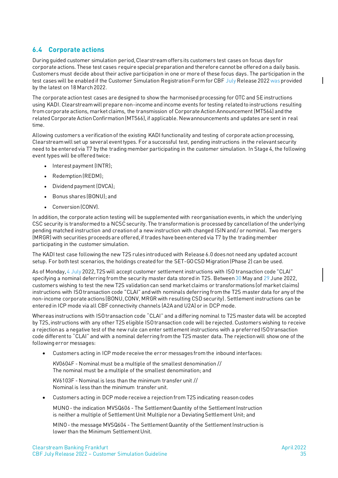# <span id="page-34-0"></span>**6.4 Corporate actions**

During guided customer simulation period, Clearstream offers its customers test cases on focus days for corporate actions. These test cases require special preparation and therefore cannot be offered on a daily basis. Customers must decide about their active participation in one or more of these focus days. The participation in the test cases will be enabled if the Customer Simulation Registration Form for CBF July Release 2022 was provided by the latest on 18 March 2022.

The corporate action test cases are designed to show the harmonised processing for OTC and SE instructions using KADI. Clearstream will prepare non-income and income events for testing related to instructions resulting from corporate actions, market claims, the transmission of Corporate Action Announcement (MT564) and the related Corporate Action Confirmation (MT566), if applicable. New announcements and updates are sent in real time.

Allowing customers a verification of the existing KADI functionality and testing of corporate action processing, Clearstream will set up several event types. For a successful test, pending instructions in the relevant security need to be entered via T7 by the trading member participating in the customer simulation. In Stage 4, the following event types will be offered twice:

- Interest payment (INTR);
- Redemption (REDM);
- Dividend payment (DVCA);
- Bonus shares (BONU); and
- Conversion (CONV).

In addition, the corporate action testing will be supplemented with reorganisation events, in which the underlying CSC security is transformed to a NCSC security. The transformation is processed by cancellation of the underlying pending matched instruction and creation of a new instruction with changed ISIN and / or nominal. Two mergers (MRGR) with securities proceeds are offered, if trades have been entered via T7 by the trading member participating in the customer simulation.

The KADI test case following the new T2S rules introduced with Release 6.0 does not need any updated account setup. For both test scenarios, the holdings created for the SET-GO CSD Migration (Phase 2) can be used.

As of Monday, 4 July 2022, T2S will accept customer settlement instructions with ISO transaction code "CLAI" specifying a nominal deferring from the security master data stored in T2S. Between 30 May and 29 June 2022, customers wishing to test the new T2S validation can send market claims or transformations (of market claims) instructions with ISO transaction code "CLAI" and with nominals deferring from the T2S master data for any of the non-income corporate actions (BONU, CONV, MRGR with resulting CSD security). Settlement instructions can be entered in ICP mode via all CBF connectivity channels (A2A and U2A) or in DCP mode.

Whereas instructions with ISO transaction code "CLAI" and a differing nominal to T2S master data will be accepted by T2S, instructions with any other T2S eligible ISO transaction code will be rejected. Customers wishing to receive a rejection as a negative test of the new rule can enter settlement instructions with a preferred ISO transaction code different to "CLAI" and with a nominal deferring from the T2S master data. The rejection will show one of the following error messages:

• Customers acting in ICP mode receive the error messages from the inbound interfaces:

KV0604F - Nominal must be a multiple of the smallest denomination // The nominal must be a multiple of the smallest denomination; and

KV6103F - Nominal is less than the minimum transfer unit // Nominal is less than the minimum transfer unit.

• Customers acting in DCP mode receive a rejection from T2S indicating reason codes

MUNO - the indication MVSQ606 - The Settlement Quantity of the Settlement Instruction is neither a multiple of Settlement Unit Multiple nor a Deviating Settlement Unit; and

MINO - the message MVSQ604 - The Settlement Quantity of the Settlement Instruction is lower than the Minimum Settlement Unit.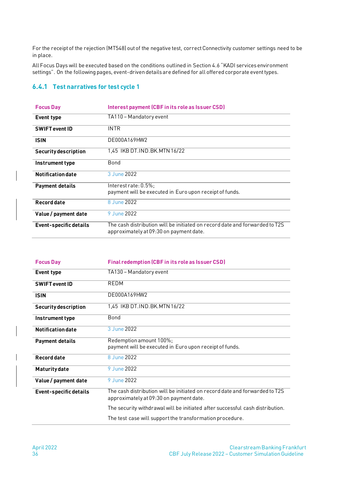For the receipt of the rejection (MT548) out of the negative test, correct Connectivity customer settings need to be in place.

All Focus Days will be executed based on the conditions outlined in Section 4.6 "KADI services environment settings". On the following pages, event-driven details are defined for all offered corporate event types.

### <span id="page-35-0"></span>**6.4.1 Test narratives for test cycle 1**

| <b>Focus Day</b>              | Interest payment (CBF in its role as Issuer CSD)                                                                       |
|-------------------------------|------------------------------------------------------------------------------------------------------------------------|
| Event type                    | TA110 - Mandatory event                                                                                                |
| <b>SWIFT event ID</b>         | <b>INTR</b>                                                                                                            |
| <b>ISIN</b>                   | DE000A169HW2                                                                                                           |
| <b>Security description</b>   | 1,45 IKB DT.IND.BK.MTN 16/22                                                                                           |
| Instrument type               | Bond                                                                                                                   |
| <b>Notification date</b>      | 3 June 2022                                                                                                            |
| <b>Payment details</b>        | $Interest rate: 0.5\%$ :<br>payment will be executed in Euro upon receipt of funds.                                    |
| Record date                   | 8 June 2022                                                                                                            |
| Value / payment date          | 9 June 2022                                                                                                            |
| <b>Event-specific details</b> | The cash distribution will be initiated on record date and forwarded to T2S<br>approximately at 09:30 on payment date. |

| <b>Focus Day</b>            | <b>Final redemption (CBF in its role as Issuer CSD)</b>                                                                |
|-----------------------------|------------------------------------------------------------------------------------------------------------------------|
| Event type                  | TA130 - Mandatory event                                                                                                |
| <b>SWIFT event ID</b>       | REDM                                                                                                                   |
| <b>ISIN</b>                 | DE000A169HW2                                                                                                           |
| <b>Security description</b> | 1,45 IKB DT.IND.BK.MTN 16/22                                                                                           |
| Instrument type             | Bond                                                                                                                   |
| <b>Notification date</b>    | 3 June 2022                                                                                                            |
| <b>Payment details</b>      | Redemption amount 100%;<br>payment will be executed in Euro upon receipt of funds.                                     |
| <b>Record date</b>          | 8 June 2022                                                                                                            |
| <b>Maturity date</b>        | 9 June 2022                                                                                                            |
| Value / payment date        | 9 June 2022                                                                                                            |
| Event-specific details      | The cash distribution will be initiated on record date and forwarded to T2S<br>approximately at 09:30 on payment date. |
|                             | The security withdrawal will be initiated after successful cash distribution.                                          |
|                             | The test case will support the transformation procedure.                                                               |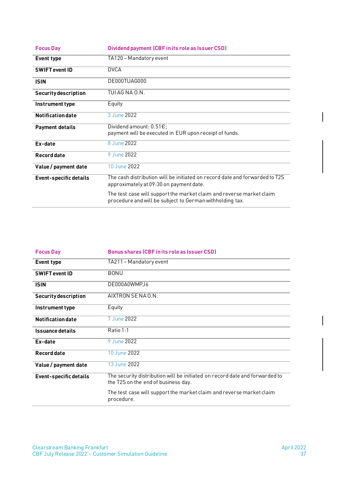| <b>Focus Day</b>            | Dividend payment (CBF in its role as Issuer CSD)                                                                                 |
|-----------------------------|----------------------------------------------------------------------------------------------------------------------------------|
| Event type                  | TA120 - Mandatory event                                                                                                          |
| <b>SWIFT event ID</b>       | <b>DVCA</b>                                                                                                                      |
| <b>ISIN</b>                 | DE000TUAG000                                                                                                                     |
| <b>Security description</b> | TUI AG NA O.N.                                                                                                                   |
| Instrument type             | Equity                                                                                                                           |
| <b>Notification date</b>    | 3 June 2022                                                                                                                      |
| <b>Payment details</b>      | Dividend amount: $0.51E$ ;<br>payment will be executed in EUR upon receipt of funds.                                             |
| Ex-date                     | 8 June 2022                                                                                                                      |
| Record date                 | 9 June 2022                                                                                                                      |
| Value / payment date        | 10 June 2022                                                                                                                     |
| Event-specific details      | The cash distribution will be initiated on record date and forwarded to T2S<br>approximately at 09:30 on payment date.           |
|                             | The test case will support the market claim and reverse market claim<br>procedure and will be subject to German withholding tax. |

| <b>Focus Day</b>            | <b>Bonus shares (CBF in its role as Issuer CSD)</b>                                                                |
|-----------------------------|--------------------------------------------------------------------------------------------------------------------|
| Event type                  | TA211 – Mandatory event                                                                                            |
| <b>SWIFT event ID</b>       | <b>BONU</b>                                                                                                        |
| <b>ISIN</b>                 | DE000A0WMPJ6                                                                                                       |
| <b>Security description</b> | AIXTRON SENAO.N.                                                                                                   |
| Instrument type             | Equity                                                                                                             |
| <b>Notification date</b>    | 7 June 2022                                                                                                        |
| Issuance details            | Ratio 1:1                                                                                                          |
| Ex-date                     | 9 June 2022                                                                                                        |
| <b>Record date</b>          | 10 June 2022                                                                                                       |
| Value / payment date        | 13 June 2022                                                                                                       |
| Event-specific details      | The security distribution will be initiated on record date and forwarded to<br>the T2S on the end of business day. |
|                             | The test case will support the market claim and reverse market claim<br>procedure.                                 |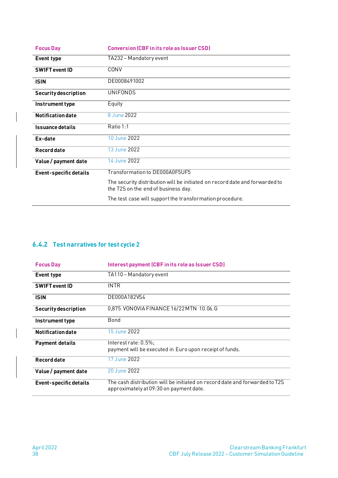| <b>Focus Day</b>              | <b>Conversion (CBF in its role as Issuer CSD)</b>                                                                  |
|-------------------------------|--------------------------------------------------------------------------------------------------------------------|
| Event type                    | TA232 - Mandatory event                                                                                            |
| <b>SWIFT event ID</b>         | CONV                                                                                                               |
| <b>ISIN</b>                   | DE0008491002                                                                                                       |
| <b>Security description</b>   | <b>UNIFONDS</b>                                                                                                    |
| Instrument type               | Equity                                                                                                             |
| <b>Notification date</b>      | 8 June 2022                                                                                                        |
| <b>Issuance details</b>       | Ratio 1:1                                                                                                          |
| Ex-date                       | 10 June 2022                                                                                                       |
| Record date                   | 13 June 2022                                                                                                       |
| Value / payment date          | 14 June 2022                                                                                                       |
| <b>Event-specific details</b> | Transformation to DE000A0F5UF5                                                                                     |
|                               | The security distribution will be initiated on record date and forwarded to<br>the T2S on the end of business day. |
|                               | The test case will support the transformation procedure.                                                           |

# <span id="page-37-0"></span>**6.4.2 Test narratives for test cycle 2**

| <b>Focus Day</b>            | Interest payment (CBF in its role as Issuer CSD)                                                                       |
|-----------------------------|------------------------------------------------------------------------------------------------------------------------|
| <b>Event type</b>           | TA110 - Mandatory event                                                                                                |
| <b>SWIFT event ID</b>       | <b>INTR</b>                                                                                                            |
| <b>ISIN</b>                 | DE000A182VS4                                                                                                           |
| <b>Security description</b> | 0,875 VONOVIA FINANCE 16/22 MTN 10.06.G                                                                                |
| Instrument type             | Bond                                                                                                                   |
| <b>Notification date</b>    | 15 June 2022                                                                                                           |
| <b>Payment details</b>      | $Interest rate: 0.5\%$<br>payment will be executed in Euro upon receipt of funds.                                      |
| Record date                 | 17 June 2022                                                                                                           |
| Value / payment date        | 20 June 2022                                                                                                           |
| Event-specific details      | The cash distribution will be initiated on record date and forwarded to T2S<br>approximately at 09:30 on payment date. |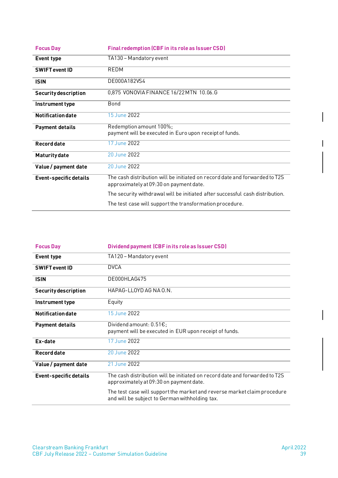| <b>Focus Day</b>            | <b>Final redemption (CBF in its role as Issuer CSD)</b>                                                                |
|-----------------------------|------------------------------------------------------------------------------------------------------------------------|
| Event type                  | TA130 - Mandatory event                                                                                                |
| <b>SWIFT event ID</b>       | REDM                                                                                                                   |
| <b>ISIN</b>                 | DE000A182VS4                                                                                                           |
| <b>Security description</b> | 0,875 VONOVIA FINANCE 16/22 MTN 10.06.G                                                                                |
| Instrument type             | Bond                                                                                                                   |
| <b>Notification date</b>    | 15 June 2022                                                                                                           |
| <b>Payment details</b>      | Redemption amount 100%;<br>payment will be executed in Euro upon receipt of funds.                                     |
| Record date                 | 17 June 2022                                                                                                           |
| <b>Maturity date</b>        | 20 June 2022                                                                                                           |
| Value / payment date        | 20 June 2022                                                                                                           |
| Event-specific details      | The cash distribution will be initiated on record date and forwarded to T2S<br>approximately at 09:30 on payment date. |
|                             | The security withdrawal will be initiated after successful cash distribution.                                          |
|                             | The test case will support the transformation procedure.                                                               |

| <b>Focus Day</b>            | Dividend payment (CBF in its role as Issuer CSD)                                                                           |
|-----------------------------|----------------------------------------------------------------------------------------------------------------------------|
| Event type                  | TA120 - Mandatory event                                                                                                    |
| <b>SWIFT event ID</b>       | <b>DVCA</b>                                                                                                                |
| <b>ISIN</b>                 | DE000HLAG475                                                                                                               |
| <b>Security description</b> | HAPAG-LLOYD AG NA O.N.                                                                                                     |
| Instrument type             | Equity                                                                                                                     |
| <b>Notification date</b>    | 15 June 2022                                                                                                               |
| <b>Payment details</b>      | Dividend amount: $0.51E$ ;<br>payment will be executed in EUR upon receipt of funds.                                       |
| Ex-date                     | 17 June 2022                                                                                                               |
| Record date                 | 20 June 2022                                                                                                               |
| Value / payment date        | 21 June 2022                                                                                                               |
| Event-specific details      | The cash distribution will be initiated on record date and forwarded to T2S<br>approximately at 09:30 on payment date.     |
|                             | The test case will support the market and reverse market claim procedure<br>and will be subject to German withholding tax. |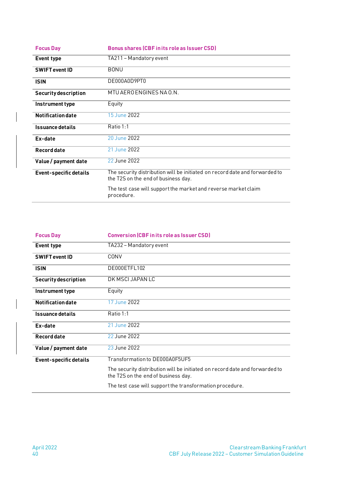| <b>Focus Day</b>              | <b>Bonus shares (CBF in its role as Issuer CSD)</b>                                                                |
|-------------------------------|--------------------------------------------------------------------------------------------------------------------|
| Event type                    | TA211 – Mandatory event                                                                                            |
| <b>SWIFT event ID</b>         | <b>BONU</b>                                                                                                        |
| <b>ISIN</b>                   | DE000A0D9PT0                                                                                                       |
| <b>Security description</b>   | MTU AERO ENGINES NA 0.N.                                                                                           |
| Instrument type               | Equity                                                                                                             |
| Notification date             | 15 June 2022                                                                                                       |
| Issuance details              | Ratio 1:1                                                                                                          |
| Ex-date                       | 20 June 2022                                                                                                       |
| Record date                   | 21 June 2022                                                                                                       |
| Value / payment date          | 22 June 2022                                                                                                       |
| <b>Event-specific details</b> | The security distribution will be initiated on record date and forwarded to<br>the T2S on the end of business day. |
|                               | The test case will support the market and reverse market claim<br>procedure.                                       |

| <b>Focus Day</b>              | <b>Conversion (CBF in its role as Issuer CSD)</b>                                                                  |
|-------------------------------|--------------------------------------------------------------------------------------------------------------------|
| <b>Event type</b>             | TA232 – Mandatory event                                                                                            |
| <b>SWIFT event ID</b>         | CONV                                                                                                               |
| <b>ISIN</b>                   | DE000ETFL102                                                                                                       |
| <b>Security description</b>   | DK MSCI JAPAN LC                                                                                                   |
| Instrument type               | Equity                                                                                                             |
| <b>Notification date</b>      | 17 June 2022                                                                                                       |
| Issuance details              | Ratio 1:1                                                                                                          |
| Ex-date                       | 21 June 2022                                                                                                       |
| Record date                   | 22 June 2022                                                                                                       |
| Value / payment date          | 23 June 2022                                                                                                       |
| <b>Event-specific details</b> | Transformation to DE000A0E5UE5                                                                                     |
|                               | The security distribution will be initiated on record date and forwarded to<br>the T2S on the end of business day. |
|                               | The test case will support the transformation procedure.                                                           |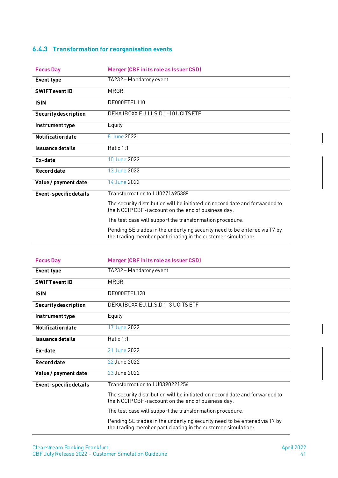# <span id="page-40-0"></span>**6.4.3 Transformation for reorganisation events**

| <b>Focus Day</b>            | Merger (CBF in its role as Issuer CSD)                                                                                                    |
|-----------------------------|-------------------------------------------------------------------------------------------------------------------------------------------|
| Event type                  | TA232 - Mandatory event                                                                                                                   |
| <b>SWIFT event ID</b>       | MRGR                                                                                                                                      |
| <b>ISIN</b>                 | DE000ETFL110                                                                                                                              |
| <b>Security description</b> | DEKAIBOXX EU.LI.S.D 1-10 UCITS ETF                                                                                                        |
| Instrument type             | Equity                                                                                                                                    |
| <b>Notification date</b>    | 8 June 2022                                                                                                                               |
| <b>Issuance details</b>     | Ratio 1:1                                                                                                                                 |
| Ex-date                     | 10 June 2022                                                                                                                              |
| Record date                 | 13 June 2022                                                                                                                              |
| Value / payment date        | 14 June 2022                                                                                                                              |
| Event-specific details      | Transformation to LU0271695388                                                                                                            |
|                             | The security distribution will be initiated on record date and forwarded to<br>the NCCIP CBF-i account on the end of business day.        |
|                             | The test case will support the transformation procedure.                                                                                  |
|                             | Pending SE trades in the underlying security need to be entered via T7 by<br>the trading member participating in the customer simulation: |

| <b>Focus Day</b>              | Merger (CBF in its role as Issuer CSD)                                                                                                    |
|-------------------------------|-------------------------------------------------------------------------------------------------------------------------------------------|
| Event type                    | TA232 - Mandatory event                                                                                                                   |
| <b>SWIFT event ID</b>         | MRGR                                                                                                                                      |
| <b>ISIN</b>                   | DE000ETFL128                                                                                                                              |
| <b>Security description</b>   | DEKAIBOXX EU.LI.S.D 1-3 UCITS ETF                                                                                                         |
| Instrument type               | Equity                                                                                                                                    |
| <b>Notification date</b>      | 17 June 2022                                                                                                                              |
| <b>Issuance details</b>       | Ratio 1:1                                                                                                                                 |
| Ex-date                       | 21 June 2022                                                                                                                              |
| Record date                   | 22 June 2022                                                                                                                              |
| Value / payment date          | 23 June 2022                                                                                                                              |
| <b>Event-specific details</b> | Transformation to LU0390221256                                                                                                            |
|                               | The security distribution will be initiated on record date and forwarded to<br>the NCCIP CBF-i account on the end of business day.        |
|                               | The test case will support the transformation procedure.                                                                                  |
|                               | Pending SE trades in the underlying security need to be entered via T7 by<br>the trading member participating in the customer simulation: |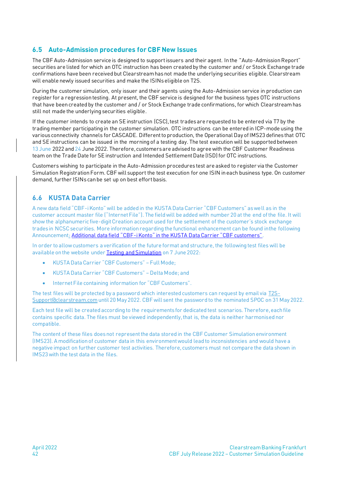### <span id="page-41-0"></span>**6.5 Auto-Admission procedures for CBF New Issues**

The CBF Auto-Admission service is designed to support issuers and their agent. In the "Auto-Admission Report" securities are listed for which an OTC instruction has been created by the customer and / or Stock Exchange trade confirmations have been received but Clearstream has not made the underlying securities eligible. Clearstream will enable newly issued securities and make the ISINs eligible on T2S.

During the customer simulation, only issuer and their agents using the Auto-Admission service in production can register for a regression testing. At present, the CBF service is designed for the business types OTC instructions that have been created by the customer and / or Stock Exchange trade confirmations, for which Clearstream has still not made the underlying securities eligible.

If the customer intends to create an SE instruction (CSC), test trades are requested to be entered via T7 by the trading member participating in the customer simulation. OTC instructions can be entered in ICP-mode using the various connectivity channels for CASCADE. Different to production, the Operational Day of IMS23 defines that OTC and SE instructions can be issued in the morning of a testing day. The test execution will be supported between 13 June 2022 and 24 June 2022. Therefore, customers are advised to agree with the CBF Customer Readiness team on the Trade Date for SE instruction and Intended Settlement Date (ISD) for OTC instructions.

Customers wishing to participate in the Auto-Admission procedures test are asked to register via the Customer Simulation Registration Form. CBF will support the test execution for one ISIN in each business type. On customer demand, further ISINs can be set up on best effort basis.

# **6.6 KUSTA Data Carrier**

A new data field "CBF-i Konto" will be added in the KUSTA Data Carrier "CBF Customers" as well as in the customer account master file ("Internet File"). The field will be added with number 20 at the end of the file. It will show the alphanumeric five-digit Creation account used for the settlement of the customer's stock exchange trades in NCSC securities. More information regarding the functional enhancement can be found inthe following Announcement: Additional data field "CBF-[i Konto" in the KUSTA Data Carrier "CBF customers"](https://www.clearstream.com/clearstream-en/products-and-services/settlement/d22019-3026986).

In order to allow customers a verification of the future format and structure, the following test files will be available on the website unde[r Testing and Simulation](https://www.clearstream.com/clearstream-en/products-and-services/connectivity-1-/cascade/testing-and-simulation) on 7 June 2022:

- KUSTA Data Carrier "CBF Customers" Full Mode;
- KUSTA Data Carrier "CBF Customers" Delta Mode; and
- Internet File containing information for "CBF Customers".

The test files will be protected by a password which interested customers can request by email via [T2S-](mailto:T2S-Support@clearstream.com)[Support@clearstream.com](mailto:T2S-Support@clearstream.com) until 20 May 2022. CBF will sent the password to the nominated SPOC on 31 May 2022.

Each test file will be created according to the requirements for dedicated test scenarios. Therefore, each file contains specific data. The files must be viewed independently, that is, the data is neither harmonised nor compatible.

The content of these files does not represent the data stored in the CBF Customer Simulation environment (IMS23). A modification of customer data in this environment would lead to inconsistencies and would have a negative impact on further customer test activities. Therefore, customers must not compare the data shown in IMS23 with the test data in the files.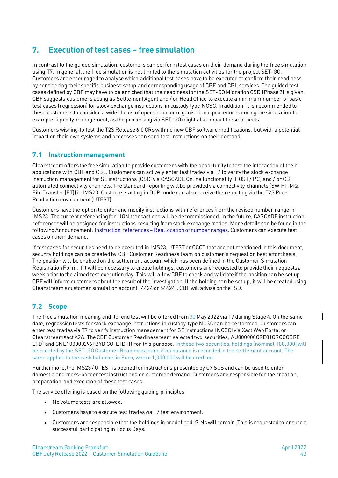# <span id="page-42-0"></span>**7. Execution of test cases – free simulation**

In contrast to the guided simulation, customers can perform test cases on their demand during the free simulation using T7. In general, the free simulation is not limited to the simulation activities for the project SET-GO. Customers are encouraged to analyse which additional test cases have to be executed to confirm their readiness by considering their specific business setup and corresponding usage of CBF and CBL services. The guided test cases defined by CBF may have to be enriched that the readiness for the SET-GO Migration CSD (Phase 2) is given. CBF suggests customers acting as Settlement Agent and / or Head Office to execute a minimum number of basic test cases (regression) for stock exchange instructions in custody type NCSC. In addition, it is recommended to these customers to consider a wider focus of operational or organisational procedures during the simulation for example, liquidity management, as the processing via SET-GO might also impact these aspects.

Customers wishing to test the T2S Release 6.0 CRs with no new CBF software modifications, but with a potential impact on their own systems and processes can send test instructions on their demand.

### <span id="page-42-1"></span>**7.1 Instruction management**

Clearstream offers the free simulation to provide customers with the opportunity to test the interaction of their applications with CBF and CBL. Customers can actively enter test trades via T7 to verify the stock exchange instruction management for SE instructions (CSC) via CASCADE Online functionality (HOST / PC) and / or CBF automated connectivity channels. The standard reporting will be provided via connectivity channels (SWIFT, MQ, File Transfer (FT)) in IMS23. Customers acting in DCP mode can also receive the reporting via the T2S Pre-Production environment (UTEST).

Customers have the option to enter and modify instructions with references from the revised number range in IMS23. The current referencing for LION transactions will be decommissioned. In the future, CASCADE instruction references will be assigned for instructions resulting from stock exchange trades. More details can be found in the following Announcement: **Instruction references - Reallocation of number ranges**. Customers can execute test cases on their demand.

If test cases for securities need to be executed in IMS23, UTEST or OCCT that are not mentioned in this document, security holdings can be created by CBF Customer Readiness team on customer's request on best effort basis. The position will be enabled on the settlement account which has been defined in the Customer Simulation Registration Form. If it will be necessary to create holdings, customers are requested to provide their requests a week prior to the aimed test execution day. This will allow CBF to check and validate if the position can be set up. CBF will inform customers about the result of the investigation. If the holding can be set up, it will be created using Clearstream's customer simulation account (4424 or 64424). CBF will advise on the ISD.

### <span id="page-42-2"></span>**7.2 Scope**

The free simulation meaning end-to-end test will be offered from 30 May 2022 via T7 during Stage 4. On the same date, regression tests for stock exchange instructions in custody type NCSC can be performed. Customers can enter test trades via T7 to verify instruction management for SE instructions (NCSC) via Xact Web Portal or ClearstreamXact A2A. The CBF Customer Readiness team selected two securities, AU000000ORE0 (OROCOBRE LTD) and CNE100000296 (BYD CO. LTD H), for this purpose. In these two securities, holdings (nominal 100,000) will be created by the SET-GO Customer Readiness team, if no balance is recorded in the settlement account. The same applies to the cash balances in Euro, where 1,000,000 will be credited.

Furthermore, the IMS23 / UTEST is opened for instructions presented by C7 SCS and can be used to enter domestic and cross-border test instructions on customer demand. Customers are responsible for the creation, preparation,and execution of these test cases.

The service offering is based on the following guiding principles:

- No volume tests are allowed.
- Customers have to execute test trades via T7 test environment.
- Customers are responsible that the holdings in predefined ISINswill remain. This is requested to ensure a successful participating in Focus Days.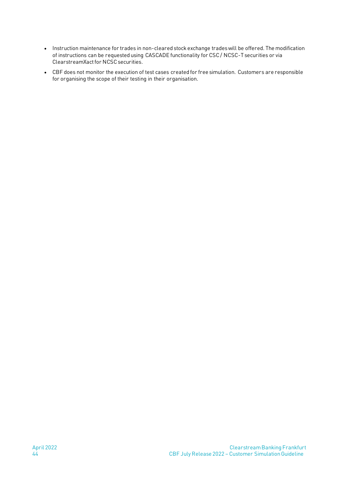- Instruction maintenance for trades in non-cleared stock exchange trades will be offered. The modification of instructions can be requested using CASCADE functionality for CSC / NCSC-T securities or via ClearstreamXact for NCSC securities.
- CBF does not monitor the execution of test cases created for free simulation. Customers are responsible for organising the scope of their testing in their organisation.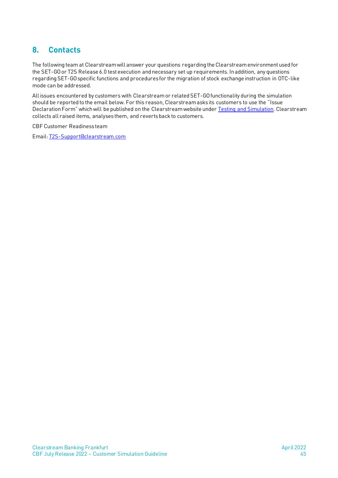# <span id="page-44-0"></span>**8. Contacts**

The following team at Clearstream will answer your questions regarding the Clearstream environment used for the SET-GOor T2S Release 6.0 test execution and necessary set up requirements. In addition, any questions regarding SET-GO specific functions and procedures for the migration of stock exchange instruction in OTC-like mode can be addressed.

All issues encountered by customers with Clearstream or related SET-GO functionality during the simulation should be reported to the email below. For this reason, Clearstream asks its customers to use the "Issue Declaration Form" which will be published on the Clearstream website under [Testing and Simulation.](https://www.clearstream.com/resource/blob/1316880/8c99a3d62a1fc18ff4dd87a883c80522/t2s-issue-declaration-form-customer-simulation-data.pdf) Clearstream collects all raised items, analyses them, and reverts back to customers.

#### CBF Customer Readiness team

Email[: T2S-Support@clearstream.com](mailto:T2S-Support@clearstream.com)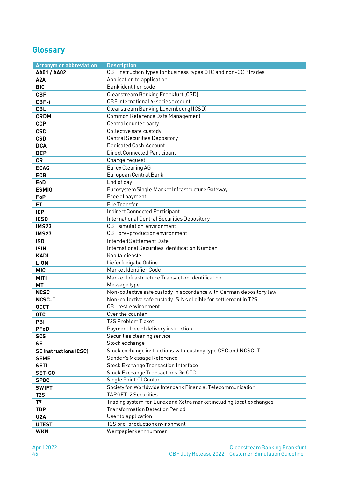# <span id="page-45-0"></span>**Glossary**

| <b>Acronym or abbreviation</b> | <b>Description</b>                                                   |  |  |  |
|--------------------------------|----------------------------------------------------------------------|--|--|--|
| <b>AA01 / AA02</b>             | CBF instruction types for business types OTC and non-CCP trades      |  |  |  |
| A2A                            | Application to application                                           |  |  |  |
| <b>BIC</b>                     | Bank identifier code                                                 |  |  |  |
| <b>CBF</b>                     | Clearstream Banking Frankfurt (CSD)                                  |  |  |  |
| CBF-i                          | CBF international 6-series account                                   |  |  |  |
| <b>CBL</b>                     | Clearstream Banking Luxembourg (ICSD)                                |  |  |  |
| <b>CRDM</b>                    | Common Reference Data Management                                     |  |  |  |
| <b>CCP</b>                     | Central counter party                                                |  |  |  |
| <b>CSC</b>                     | Collective safe custody                                              |  |  |  |
| <b>CSD</b>                     | <b>Central Securities Depository</b>                                 |  |  |  |
| <b>DCA</b>                     | <b>Dedicated Cash Account</b>                                        |  |  |  |
| <b>DCP</b>                     | Direct Connected Participant                                         |  |  |  |
| <b>CR</b>                      | Change request                                                       |  |  |  |
| <b>ECAG</b>                    | Eurex Clearing AG                                                    |  |  |  |
| <b>ECB</b>                     | European Central Bank                                                |  |  |  |
| <b>EoD</b>                     | End of day                                                           |  |  |  |
| <b>ESMIG</b>                   | Eurosystem Single Market Infrastructure Gateway                      |  |  |  |
| FoP                            | Free of payment                                                      |  |  |  |
| FT.                            | File Transfer                                                        |  |  |  |
| <b>ICP</b>                     | Indirect Connected Participant                                       |  |  |  |
|                                | International Central Securities Depository                          |  |  |  |
| <b>ICSD</b>                    | CBF simulation environment                                           |  |  |  |
| <b>IMS23</b>                   |                                                                      |  |  |  |
| <b>IMS27</b>                   | CBF pre-production environment                                       |  |  |  |
| <b>ISD</b>                     | <b>Intended Settlement Date</b>                                      |  |  |  |
| <b>ISIN</b>                    | International Securities Identification Number                       |  |  |  |
| <b>KADI</b>                    | Kapitaldienste                                                       |  |  |  |
| <b>LION</b>                    | Lieferfreigabe Online                                                |  |  |  |
| <b>MIC</b>                     | Market Identifier Code                                               |  |  |  |
| <b>MITI</b>                    | Market Infrastructure Transaction Identification                     |  |  |  |
| <b>MT</b>                      | Message type                                                         |  |  |  |
| <b>NCSC</b>                    | Non-collective safe custody in accordance with German depository law |  |  |  |
| <b>NCSC-T</b>                  | Non-collective safe custody ISINs eligible for settlement in T2S     |  |  |  |
| <b>OCCT</b>                    | <b>CBL</b> test environment                                          |  |  |  |
| <b>OTC</b>                     | Over the counter                                                     |  |  |  |
| PBI                            | <b>T2S Problem Ticket</b>                                            |  |  |  |
| <b>PFoD</b>                    | Payment free of delivery instruction                                 |  |  |  |
| <b>SCS</b>                     | Securities clearing service                                          |  |  |  |
| <b>SE</b>                      | Stock exchange                                                       |  |  |  |
| <b>SE instructions (CSC)</b>   | Stock exchange instructions with custody type CSC and NCSC-T         |  |  |  |
| <b>SEME</b>                    | Sender's Message Reference                                           |  |  |  |
| <b>SETI</b>                    | <b>Stock Exchange Transaction Interface</b>                          |  |  |  |
| SET-GO                         | Stock Exchange Transactions Go OTC                                   |  |  |  |
| <b>SPOC</b>                    | Single Point Of Contact                                              |  |  |  |
| <b>SWIFT</b>                   | Society for Worldwide Interbank Financial Telecommunication          |  |  |  |
| T <sub>2</sub> S               | <b>TARGET-2 Securities</b>                                           |  |  |  |
| T7                             | Trading system for Eurex and Xetra market including local exchanges  |  |  |  |
| <b>TDP</b>                     | <b>Transformation Detection Period</b>                               |  |  |  |
| U <sub>2</sub> A               | User to application                                                  |  |  |  |
| <b>UTEST</b>                   | T2S pre-production environment                                       |  |  |  |
| <b>WKN</b>                     | Wertpapierkennnummer                                                 |  |  |  |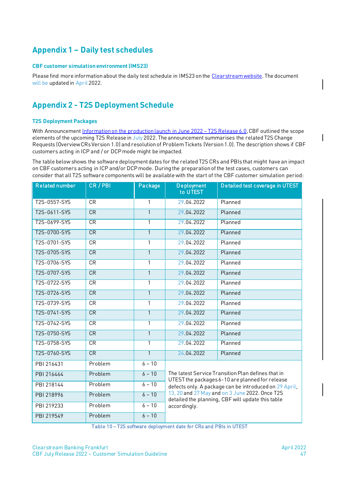# <span id="page-46-0"></span>**Appendix 1 – Daily test schedules**

#### <span id="page-46-1"></span>**CBF customer simulationenvironment (IMS23)**

Please find more information about the daily test schedule in IMS23 on the [Clearstream website.](https://www.clearstream.com/resource/blob/1316874/2b8fe5b2aea4e32df2b4f96108c922da/cbf-customer-simulation-environment-ims23-generic-processing-schedule-data.pdf) The document will be updated in April 2022.

# <span id="page-46-2"></span>**Appendix 2 - T2S Deployment Schedule**

#### <span id="page-46-3"></span>**T2S Deployment Packages**

With Announcemen[t Information on the production launch in June 2022](https://www.clearstream.com/clearstream-en/products-and-services/settlement/d22003-2916000) - T2S Release 6.0, CBF outlined the scope elements of the upcoming T2S Release in July 2022. The announcement summarises the related T2S Change Requests (Overview CRs Version 1.0) and resolution of Problem Tickets (Version 1.0). The description shows if CBF customers acting in ICP and / or DCP mode might be impacted.

The table below shows the software deployment dates for the related T2S CRs and PBIs that might have an impact on CBF customers acting in ICP and/or DCP mode. During the preparation of the test cases, customers can consider that all T2S software components will be available with the start of the CBF customer simulation period:

| <b>Related number</b> | CR / PBI  | Package      | <b>Deployment</b><br>to UTEST                                                                                                                                                                                                                                                          | Detailed test coverage in UTEST |  |  |  |
|-----------------------|-----------|--------------|----------------------------------------------------------------------------------------------------------------------------------------------------------------------------------------------------------------------------------------------------------------------------------------|---------------------------------|--|--|--|
| T2S-0557-SYS          | <b>CR</b> | $\mathbf{1}$ | 29.04.2022                                                                                                                                                                                                                                                                             | Planned                         |  |  |  |
| T2S-0611-SYS          | <b>CR</b> | $\mathbf{1}$ | 29.04.2022                                                                                                                                                                                                                                                                             | Planned                         |  |  |  |
| T2S-0699-SYS          | CR        | 1            | 29.04.2022                                                                                                                                                                                                                                                                             | Planned                         |  |  |  |
| T2S-0700-SYS          | CR        | $\mathbf{1}$ | 29.04.2022                                                                                                                                                                                                                                                                             | Planned                         |  |  |  |
| T2S-0701-SYS          | CR        | 1            | 29.04.2022                                                                                                                                                                                                                                                                             | Planned                         |  |  |  |
| T2S-0705-SYS          | CR        | $\mathbf{1}$ | 29.04.2022                                                                                                                                                                                                                                                                             | Planned                         |  |  |  |
| T2S-0706-SYS          | CR        | 1            | 29.04.2022                                                                                                                                                                                                                                                                             | Planned                         |  |  |  |
| T2S-0707-SYS          | <b>CR</b> | $\mathbf{1}$ | 29.04.2022                                                                                                                                                                                                                                                                             | Planned                         |  |  |  |
| T2S-0722-SYS          | CR        | 1            | 29.04.2022                                                                                                                                                                                                                                                                             | Planned                         |  |  |  |
| T2S-0726-SYS          | CR        | $\mathbf{1}$ | 29.04.2022                                                                                                                                                                                                                                                                             | Planned                         |  |  |  |
| T2S-0739-SYS          | <b>CR</b> | 1            | 29.04.2022                                                                                                                                                                                                                                                                             | Planned                         |  |  |  |
| T2S-0741-SYS          | CR        | $\mathbf{1}$ | 29.04.2022                                                                                                                                                                                                                                                                             | Planned                         |  |  |  |
| T2S-0742-SYS          | <b>CR</b> | 1            | 29.04.2022                                                                                                                                                                                                                                                                             | Planned                         |  |  |  |
| T2S-0750-SYS          | <b>CR</b> | $\mathbf{1}$ | 29.04.2022                                                                                                                                                                                                                                                                             | Planned                         |  |  |  |
| T2S-0758-SYS          | CR        | 1            | 29.04.2022                                                                                                                                                                                                                                                                             | Planned                         |  |  |  |
| T2S-0760-SYS          | CR        | $\mathbf{1}$ | 24.04.2022                                                                                                                                                                                                                                                                             | Planned                         |  |  |  |
| PBI 216431            | Problem   | $6 - 10$     |                                                                                                                                                                                                                                                                                        |                                 |  |  |  |
| PBI 216464            | Problem   | $6 - 10$     | The latest Service Transition Plan defines that in<br>UTEST the packages 6-10 are planned for release<br>defects only. A package can be introduced on 29 April,<br>13, 20 and 27 May and on 3 June 2022. Once T2S<br>detailed the planning, CBF will update this table<br>accordingly. |                                 |  |  |  |
| PBI 218144            | Problem   | $6 - 10$     |                                                                                                                                                                                                                                                                                        |                                 |  |  |  |
| PBI 218996            | Problem   | $6 - 10$     |                                                                                                                                                                                                                                                                                        |                                 |  |  |  |
| PBI 219233            | Problem   | $6 - 10$     |                                                                                                                                                                                                                                                                                        |                                 |  |  |  |
| PBI 219549            | Problem   | $6 - 10$     |                                                                                                                                                                                                                                                                                        |                                 |  |  |  |

Table 10 – T2S software deployment date for CRs and PBIs in UTEST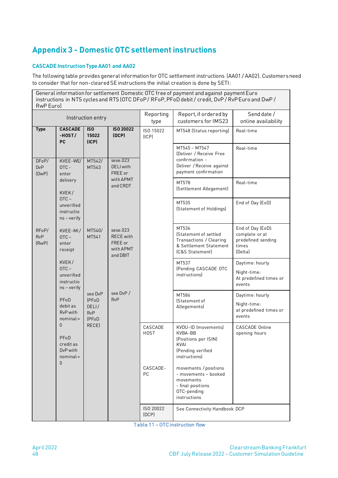# <span id="page-47-0"></span>**Appendix 3 - Domestic OTC settlement instructions**

#### <span id="page-47-1"></span>**CASCADE Instruction Type AA01 and AA02**

The following table provides general information for OTC settlement instructions (AA01 / AA02). Customers need to consider that for non-cleared SE instructions the initial creation is done by SETI:

General information for settlement Domestic OTC free of payment and against payment Euro instructions in NTS cycles and RTS (OTC DFoP / RFoP, PFoD debit / credit, DvP / RvP Euro and DwP / RwP Euro) Instruction entry Reporting type Report, if ordered by customers for IMS23 Send date / online availability **Type** DFoP/ DvP (DwP) RFoP/ RvP (RwP) **CASCADE -HOST / PC** KVEE-WE/ OTC enter delivery KVEK /  $\overline{OTC}$  – unverified instructio ns – verify KVEE-MI /  $OTC$ enter receipt KVEK / OTC – unverified instructio ns – verify PFoD debit as RvP with nominal = 0 PFoD credit as DvP with nominal =  $\Omega$ **ISO 15022 (ICP)** MT542/ MT543 MT540/ MT541 see DvP (PFoD DELI / RvP (PFoD RECE) **ISO 20022 (DCP)**  $s$ ese. 023 DELI with FREE or with APMT and CRDT sese.023 RECE with FREE or with APMT and DBIT see DvP / RvP ISO 15022 (ICP) MT548 (Status reporting) Real-time MT545 - MT547 (Deliver / Receive Free confirmation - Deliver / Receive against payment confirmation Real-time MT578 (Settlement Allegement) Real-time MT535 (Statement of Holdings) End of Day (EoD) MT536 (Statement of settled Transactions / Clearing & Settlement Statement (C&S Statement) End of Day (EoD): complete or at predefined sending times (Delta) MT537 (Pending CASCADE OTC instructions) Daytime: hourly Night-time: At predefined times or events MT586 (Statement of Allegements) Daytime: hourly Night-time: at predefined times or events CASCADE **HOST** CASCADE-PC KVDU-ID (movements) KVBA-BB (Positions per ISIN) KVAI (Pending verified instructions) movements / positions - movements – booked movements - final positions OTC-pending instructions CASCADE Online opening hours ISO 20022 (DCP) See Connectivity Handbook DCP

Table 11 – OTC instruction flow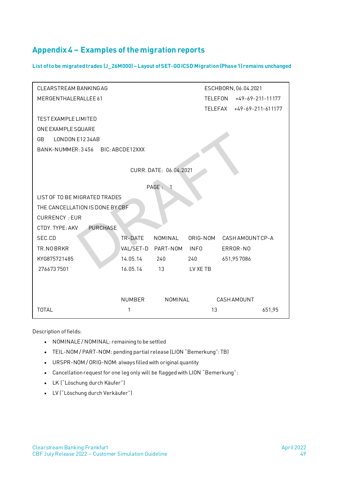# <span id="page-48-0"></span>**Appendix 4 – Examples of the migration reports**

<span id="page-48-1"></span>**List of to be migrated trades (J\_26M000)– Layout of SET-GO ICSD Migration (Phase 1) remains unchanged**

| CLEARSTREAM BANKING AG             |               |                        |                | ESCHBORN, 06.04.2021 |
|------------------------------------|---------------|------------------------|----------------|----------------------|
| MERGENTHALERALLEE 61               |               |                        | <b>TELEFON</b> | $+49-69-211-11177$   |
|                                    |               |                        | TELEFAX        | $+49-69-211-611177$  |
| TEST EXAMPLE LIMITED               |               |                        |                |                      |
| ONE EXAMPLE SQUARE                 |               |                        |                |                      |
| LONDON E1234AB<br><b>GB</b>        |               |                        |                |                      |
| BANK-NUMMER: 3456 BIC: ABCDE12XXX  |               |                        |                |                      |
|                                    |               |                        |                |                      |
|                                    |               | CURR. DATE: 06.04.2021 |                |                      |
|                                    |               | PAGE: 1                |                |                      |
| LIST OF TO BE MIGRATED TRADES      |               |                        |                |                      |
| THE CANCELLATION IS DONE BY CBF    |               |                        |                |                      |
| <b>CURRENCY: EUR</b>               |               |                        |                |                      |
| <b>PURCHASE</b><br>CTDY, TYPE: AKV |               |                        |                |                      |
| SEC.CD                             | TR-DATE       | <b>NOMINAL</b>         | ORIG-NOM       | CASH AMOUNT CP-A     |
| TR.NOBRKR                          | VAL/SET-D     | PART-NOM               | <b>INFO</b>    | ERROR-NO             |
| KYG875721485                       | 14.05.14      | 240                    | 240            | 651,957086           |
| 2766737501                         | 16.05.14      | 13                     | LV XE TB       |                      |
|                                    |               |                        |                |                      |
|                                    |               |                        |                |                      |
|                                    | <b>NUMBER</b> | <b>NOMINAL</b>         |                | <b>CASH AMOUNT</b>   |
| <b>TOTAL</b>                       | 1             |                        | 13             | 651,95               |

Description of fields:

- NOMINALE / NOMINAL: remaining to be settled
- TEIL-NOM / PART-NOM: pending partial release (LION "Bemerkung": TB)
- URSPR-NOM / ORIG-NOM: always filled with original quantity
- Cancellation request for one leg only will be flagged with LION "Bemerkung":
- LK ("Löschung durch Käufer")
- LV ("Löschung durch Verkäufer")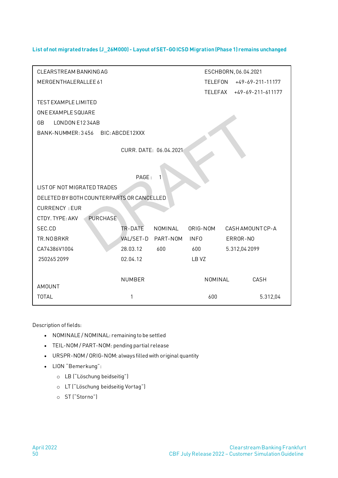#### <span id="page-49-0"></span>**List of not migrated trades (J\_26M000) - Layout of SET-GO ICSD Migration (Phase 1) remains unchanged**

| <b>CLEARSTREAM BANKING AG</b><br>ESCHBORN, 06.04.2021 |                 |                        |             |                     |  |
|-------------------------------------------------------|-----------------|------------------------|-------------|---------------------|--|
| MERGENTHALERALLEE 61                                  |                 |                        | TELEFON     | $+49-69-211-11177$  |  |
|                                                       |                 |                        | TELEFAX     | $+49-69-211-611177$ |  |
| TEST EXAMPLE LIMITED                                  |                 |                        |             |                     |  |
| ONE EXAMPLE SQUARE                                    |                 |                        |             |                     |  |
| LONDON E1234AB<br><b>GB</b>                           |                 |                        |             |                     |  |
| BANK-NUMMER: 3456                                     | BIC: ABCDE12XXX |                        |             |                     |  |
|                                                       |                 |                        |             |                     |  |
|                                                       |                 | CURR. DATE: 06.04.2021 |             |                     |  |
|                                                       |                 |                        |             |                     |  |
|                                                       | PAGE:           | 1                      |             |                     |  |
| <b>LIST OF NOT MIGRATED TRADES</b>                    |                 |                        |             |                     |  |
| DELETED BY BOTH COUNTERPARTS OR CANCELLED             |                 |                        |             |                     |  |
| <b>CURRENCY: EUR</b>                                  |                 |                        |             |                     |  |
| CTDY. TYPE: AKV<br><b>PURCHASE</b>                    |                 |                        |             |                     |  |
| SEC.CD                                                | TR-DATE         | NOMINAL                | ORIG-NOM    | CASH AMOUNT CP-A    |  |
| TR.NOBRKR                                             | VAL/SET-D       | PART-NOM               | <b>INFO</b> | ERROR-NO            |  |
| CA74386V1004                                          | 28.03.12        | 600                    | 600         | 5.312,04 2099       |  |
| 2502652099                                            | 02.04.12        |                        | LB VZ       |                     |  |
|                                                       |                 |                        |             |                     |  |
|                                                       | <b>NUMBER</b>   |                        | NOMINAL     | CASH                |  |
| <b>AMOUNT</b>                                         |                 |                        |             |                     |  |
| <b>TOTAL</b>                                          | 1               |                        | 600         | 5.312,04            |  |
|                                                       |                 |                        |             |                     |  |

Description of fields:

- NOMINALE / NOMINAL: remaining to be settled
- TEIL-NOM / PART-NOM: pending partial release
- URSPR-NOM / ORIG-NOM: always filled with original quantity
- LION "Bemerkung":
	- o LB ("Löschung beidseitig")
	- o LT ("Löschung beidseitig Vortag")
	- o ST ("Storno")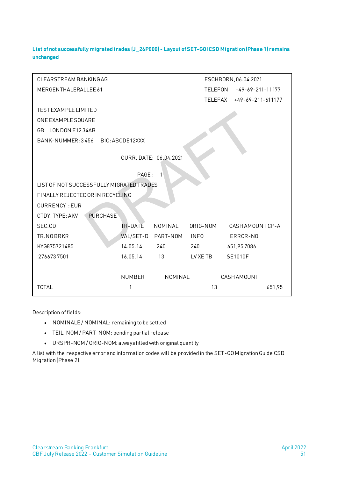<span id="page-50-0"></span>**List of not successfully migrated trades (J\_26P000) - Layout of SET-GO ICSD Migration (Phase 1) remains unchanged**

| <b>CLEARSTREAM BANKINGAG</b><br>ESCHBORN, 06.04.2021 |                                      |                        |             |                  |                     |
|------------------------------------------------------|--------------------------------------|------------------------|-------------|------------------|---------------------|
| MERGENTHALERALLEE 61                                 | <b>TELEFON</b><br>$+49-69-211-11177$ |                        |             |                  |                     |
|                                                      |                                      |                        | TELEFAX     |                  | $+49-69-211-611177$ |
| <b>TEST EXAMPLE LIMITED</b>                          |                                      |                        |             |                  |                     |
| ONE EXAMPLE SQUARE                                   |                                      |                        |             |                  |                     |
| LONDON E1234AB<br>GB.                                |                                      |                        |             |                  |                     |
| BANK-NUMMER: 3456                                    | BIC: ABCDE12XXX                      |                        |             |                  |                     |
|                                                      |                                      | CURR. DATE: 06.04.2021 |             |                  |                     |
|                                                      | PAGE:                                | $\mathbf{1}$           |             |                  |                     |
| LIST OF NOT SUCCESSFULLY MIGRATED TRADES             |                                      |                        |             |                  |                     |
| FINALLY REJECTED OR IN RECYCLING                     |                                      |                        |             |                  |                     |
| <b>CURRENCY: EUR</b>                                 |                                      |                        |             |                  |                     |
| CTDY. TYPE: AKV<br><b>PURCHASE</b>                   |                                      |                        |             |                  |                     |
| SEC.CD                                               | TR-DATE                              | NOMINAL                | ORIG-NOM    | CASH AMOUNT CP-A |                     |
| TR.NOBRKR                                            | VAL/SET-D                            | PART-NOM               | <b>INFO</b> | ERROR-NO         |                     |
| KYG875721485                                         | 14.05.14                             | 240                    | 240         | 651,957086       |                     |
| 2766737501                                           | 16.05.14                             | 13                     | LV XE TB    | SE1010F          |                     |
|                                                      |                                      |                        |             |                  |                     |
|                                                      | <b>NUMBER</b>                        | NOMINAL                |             | CASHAMOUNT       |                     |
| <b>TOTAL</b>                                         | 1                                    |                        | 13          |                  | 651,95              |

Description of fields:

- NOMINALE / NOMINAL: remaining to be settled
- TEIL-NOM / PART-NOM: pending partial release
- URSPR-NOM / ORIG-NOM: always filled with original quantity

A list with the respective error and information codes will be provided in the SET-GO Migration Guide CSD Migration (Phase 2).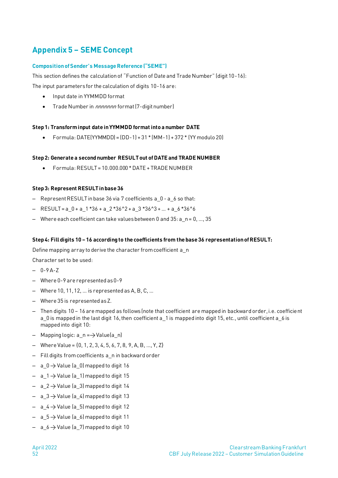# <span id="page-51-0"></span>**Appendix 5 – SEME Concept**

#### <span id="page-51-1"></span>**Composition of Sender's Message Reference ("SEME")**

This section defines the calculation of "Function of Date and Trade Number" (digit 10-16):

The input parameters for the calculation of digits 10-16 are:

- Input date in YYMMDD format
- Trade Number in *nnnnnnn* format (7-digit number)

#### **Step 1: Transform input date in YYMMDD format into a number DATE**

• Formula: DATE(YYMMDD) = (DD-1) + 31 \* (MM-1) + 372 \* (YY modulo 20)

#### **Step 2: Generate a second number RESULT out of DATE and TRADE NUMBER**

 $Formula \cdot \text{RESUI} = 10,000,000 \cdot \text{DATF} + \text{TRADE NUMBER}$ 

#### **Step 3: Represent RESULT in base 36**

- Represent RESULT in base 36 via 7 coefficients a 0 a 6 so that:
- $-$  RESULT = a 0 + a 1 \*36 + a 2 \*36^2 + a 3 \*36^3 + ... + a 6 \*36^6
- $-$  Where each coefficient can take values between 0 and 35: a\_n = 0, ..., 35

#### **Step 4: Fill digits 10 – 16 according to the coefficients from the base 36 representation of RESULT:**

Define mapping array to derive the character from coefficient a\_n

Character set to be used:

- $-0-9A-Z$
- ‒ Where 0-9 are represented as 0-9
- $-$  Where 10, 11, 12, ... is represented as A, B, C, ...
- ‒ Where 35 is represented as Z.
- ‒ Then digits 10 16 are mapped as follows (note that coefficient are mapped in backward order, i.e. coefficient a\_0 is mapped in the last digit 16, then coefficient a\_1 is mapped into digit 15, etc., until coefficient a\_6 is mapped into digit 10:
- $-$  Mapping logic:  $a_n = \rightarrow$  Value $(a_n)$
- $-$  Where Value = {0, 1, 2, 3, 4, 5, 6, 7, 8, 9, A, B, ..., Y, Z}
- ‒ Fill digits from coefficients a\_n in backward order
- $-$  a\_0  $\rightarrow$  Value (a\_0) mapped to digit 16
- $-$  a  $1 \rightarrow$  Value (a 1) mapped to digit 15
- $-$  a\_2  $\rightarrow$  Value (a\_3) mapped to digit 14
- $-$  a  $3 \rightarrow$  Value (a 4) mapped to digit 13
- $-$  a\_4  $\rightarrow$  Value (a\_5) mapped to digit 12
- $-$  a\_5  $\rightarrow$  Value (a\_6) mapped to digit 11
- $-$  a\_6  $\rightarrow$  Value (a\_7) mapped to digit 10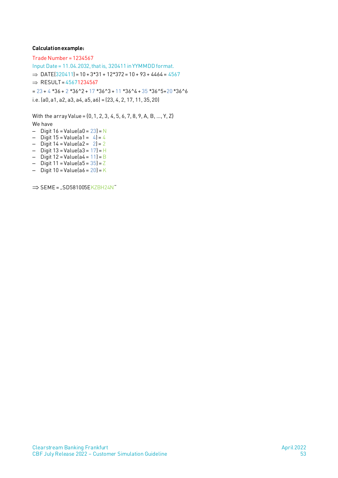#### **Calculation example:**

Trade Number = 1234567 Input Date = 11.04.2032, that is, 320411 in YYMMDD format.  $\Rightarrow$  DATE(320411) = 10 + 3\*31 + 12\*372 = 10 + 93 + 4464 = 4567  $\Rightarrow$  RESULT = 45671234567  $= 23 + 4 *36 + 2 *36^2 + 17 *36^3 + 11 *36^4 + 35 *36^5 + 20 *36^6$ i.e. (a0, a1, a2, a3, a4, a5, a6) = (23, 4, 2, 17, 11, 35, 20)

With the array Value = {0, 1, 2, 3, 4, 5, 6, 7, 8, 9, A, B, …, Y, Z} We have  $-$  Digit 16 = Value(a0 = 23) = N

- ‒ Digit 15 = Value(a1 = 4) = 4
- ‒ Digit 14 = Value(a2 = 2) = 2
- $-$  Digit 13 = Value(a3 = 17) = H
- $-$  Digit 12 = Value(a4 = 11) = B
- $-$  Digit 11 = Value(a5 = 35) = Z
- $-$  Digit 10 = Value(a6 = 20) = K

 $\Rightarrow$  SEME = "SD581005EKZBH24N"